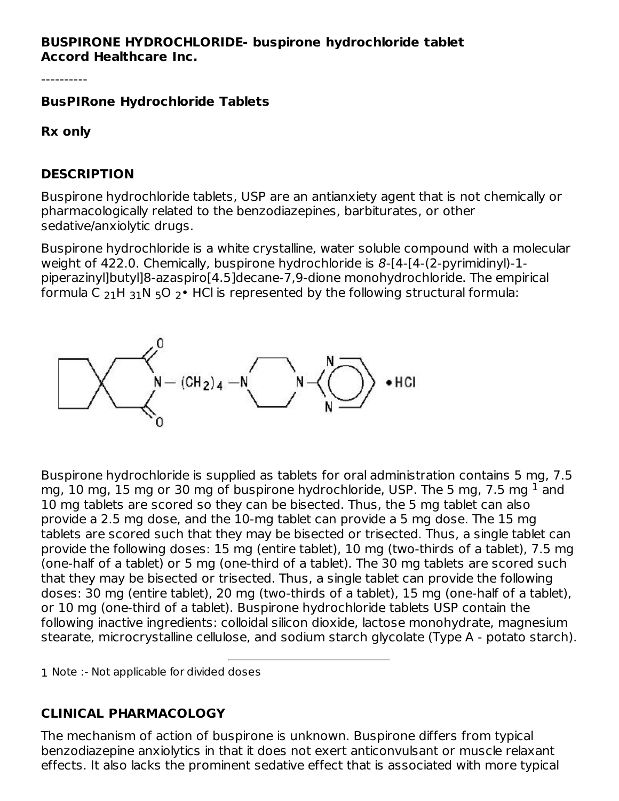#### **BUSPIRONE HYDROCHLORIDE- buspirone hydrochloride tablet Accord Healthcare Inc.**

----------

#### **BusPIRone Hydrochloride Tablets**

**Rx only**

#### **DESCRIPTION**

Buspirone hydrochloride tablets, USP are an antianxiety agent that is not chemically or pharmacologically related to the benzodiazepines, barbiturates, or other sedative/anxiolytic drugs.

Buspirone hydrochloride is a white crystalline, water soluble compound with a molecular weight of 422.0. Chemically, buspirone hydrochloride is 8-[4-[4-(2-pyrimidinyl)-1piperazinyl]butyl]8-azaspiro[4.5]decane-7,9-dione monohydrochloride. The empirical formula C  $_{21}$ H  $_{31}$ N  $_{5}$ O  $_{2}$ • HCl is represented by the following structural formula:



Buspirone hydrochloride is supplied as tablets for oral administration contains 5 mg, 7.5 mg,  $10$  mg,  $15$  mg or  $30$  mg of buspirone hydrochloride, USP. The 5 mg,  $7.5$  mg  $^1$  and 10 mg tablets are scored so they can be bisected. Thus, the 5 mg tablet can also provide a 2.5 mg dose, and the 10-mg tablet can provide a 5 mg dose. The 15 mg tablets are scored such that they may be bisected or trisected. Thus, a single tablet can provide the following doses: 15 mg (entire tablet), 10 mg (two-thirds of a tablet), 7.5 mg (one-half of a tablet) or 5 mg (one-third of a tablet). The 30 mg tablets are scored such that they may be bisected or trisected. Thus, a single tablet can provide the following doses: 30 mg (entire tablet), 20 mg (two-thirds of a tablet), 15 mg (one-half of a tablet), or 10 mg (one-third of a tablet). Buspirone hydrochloride tablets USP contain the following inactive ingredients: colloidal silicon dioxide, lactose monohydrate, magnesium stearate, microcrystalline cellulose, and sodium starch glycolate (Type A - potato starch).

1 Note :- Not applicable for divided doses

# **CLINICAL PHARMACOLOGY**

The mechanism of action of buspirone is unknown. Buspirone differs from typical benzodiazepine anxiolytics in that it does not exert anticonvulsant or muscle relaxant effects. It also lacks the prominent sedative effect that is associated with more typical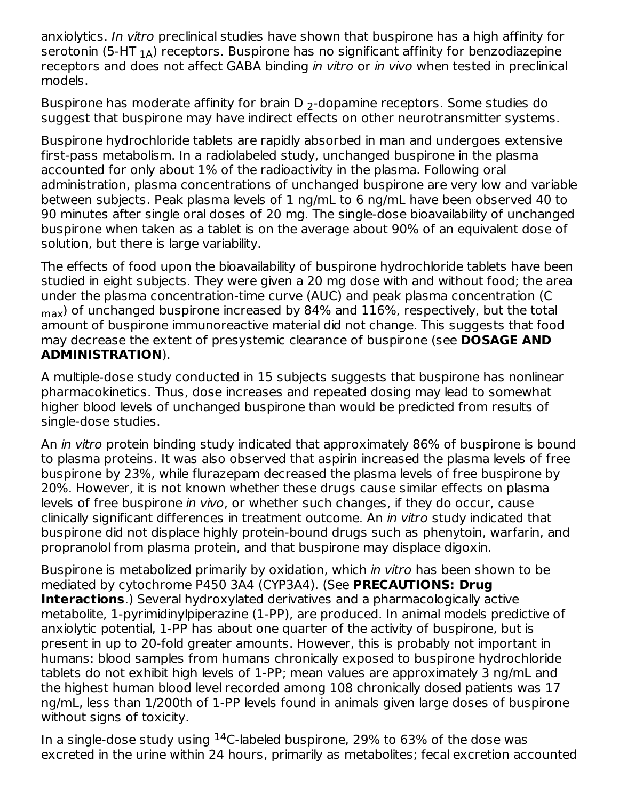anxiolytics. In vitro preclinical studies have shown that buspirone has a high affinity for serotonin (5-HT  $_{\rm 1A}$ ) receptors. Buspirone has no significant affinity for benzodiazepine receptors and does not affect GABA binding in vitro or in vivo when tested in preclinical models.

Buspirone has moderate affinity for brain D  $_2$ -dopamine receptors. Some studies do suggest that buspirone may have indirect effects on other neurotransmitter systems.

Buspirone hydrochloride tablets are rapidly absorbed in man and undergoes extensive first-pass metabolism. In a radiolabeled study, unchanged buspirone in the plasma accounted for only about 1% of the radioactivity in the plasma. Following oral administration, plasma concentrations of unchanged buspirone are very low and variable between subjects. Peak plasma levels of 1 ng/mL to 6 ng/mL have been observed 40 to 90 minutes after single oral doses of 20 mg. The single-dose bioavailability of unchanged buspirone when taken as a tablet is on the average about 90% of an equivalent dose of solution, but there is large variability.

The effects of food upon the bioavailability of buspirone hydrochloride tablets have been studied in eight subjects. They were given a 20 mg dose with and without food; the area under the plasma concentration-time curve (AUC) and peak plasma concentration (C  $_{\sf max}$ ) of unchanged buspirone increased by 84% and  $116\%$ , respectively, but the total amount of buspirone immunoreactive material did not change. This suggests that food may decrease the extent of presystemic clearance of buspirone (see **DOSAGE AND ADMINISTRATION**).

A multiple-dose study conducted in 15 subjects suggests that buspirone has nonlinear pharmacokinetics. Thus, dose increases and repeated dosing may lead to somewhat higher blood levels of unchanged buspirone than would be predicted from results of single-dose studies.

An *in vitro* protein binding study indicated that approximately 86% of buspirone is bound to plasma proteins. It was also observed that aspirin increased the plasma levels of free buspirone by 23%, while flurazepam decreased the plasma levels of free buspirone by 20%. However, it is not known whether these drugs cause similar effects on plasma levels of free buspirone in vivo, or whether such changes, if they do occur, cause clinically significant differences in treatment outcome. An in vitro study indicated that buspirone did not displace highly protein-bound drugs such as phenytoin, warfarin, and propranolol from plasma protein, and that buspirone may displace digoxin.

Buspirone is metabolized primarily by oxidation, which in vitro has been shown to be mediated by cytochrome P450 3A4 (CYP3A4). (See **PRECAUTIONS: Drug Interactions**.) Several hydroxylated derivatives and a pharmacologically active metabolite, 1-pyrimidinylpiperazine (1-PP), are produced. In animal models predictive of anxiolytic potential, 1-PP has about one quarter of the activity of buspirone, but is present in up to 20-fold greater amounts. However, this is probably not important in humans: blood samples from humans chronically exposed to buspirone hydrochloride tablets do not exhibit high levels of 1-PP; mean values are approximately 3 ng/mL and the highest human blood level recorded among 108 chronically dosed patients was 17 ng/mL, less than 1/200th of 1-PP levels found in animals given large doses of buspirone without signs of toxicity.

In a single-dose study using  $^{14}$ C-labeled buspirone, 29% to 63% of the dose was excreted in the urine within 24 hours, primarily as metabolites; fecal excretion accounted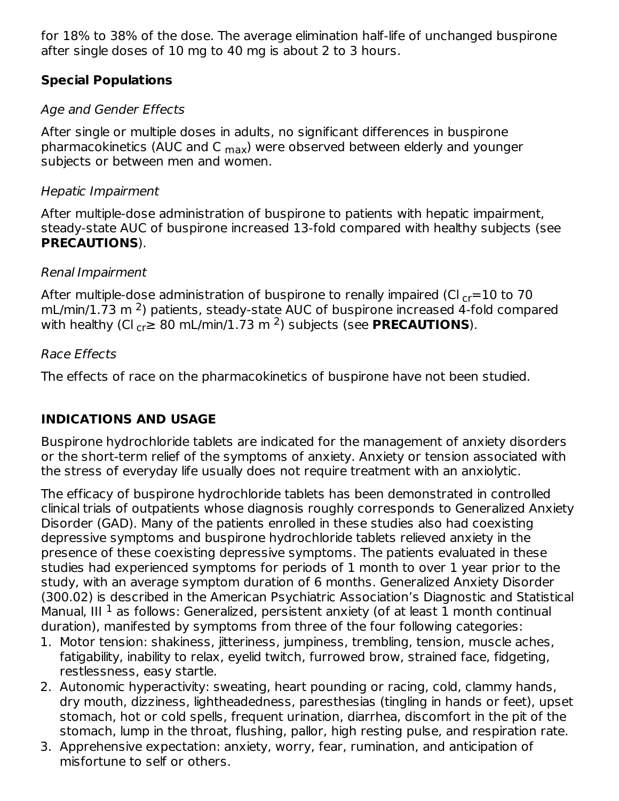for 18% to 38% of the dose. The average elimination half-life of unchanged buspirone after single doses of 10 mg to 40 mg is about 2 to 3 hours.

## **Special Populations**

# Age and Gender Effects

After single or multiple doses in adults, no significant differences in buspirone pharmacokinetics (AUC and C <sub>max</sub>) were observed between elderly and younger subjects or between men and women.

## Hepatic Impairment

After multiple-dose administration of buspirone to patients with hepatic impairment, steady-state AUC of buspirone increased 13-fold compared with healthy subjects (see **PRECAUTIONS**).

## Renal Impairment

After multiple-dose administration of buspirone to renally impaired (Cl  $_{\rm cr}{=}10$  to 70  $\,$  $mL/min/1.73$  m<sup>2</sup>) patients, steady-state AUC of buspirone increased 4-fold compared with healthy (Cl  $_{\rm cr}$  $\geq 80$  mL/min/1.73 m <sup>2</sup>) subjects (see **PRECAUTIONS**).

## Race Effects

The effects of race on the pharmacokinetics of buspirone have not been studied.

# **INDICATIONS AND USAGE**

Buspirone hydrochloride tablets are indicated for the management of anxiety disorders or the short-term relief of the symptoms of anxiety. Anxiety or tension associated with the stress of everyday life usually does not require treatment with an anxiolytic.

The efficacy of buspirone hydrochloride tablets has been demonstrated in controlled clinical trials of outpatients whose diagnosis roughly corresponds to Generalized Anxiety Disorder (GAD). Many of the patients enrolled in these studies also had coexisting depressive symptoms and buspirone hydrochloride tablets relieved anxiety in the presence of these coexisting depressive symptoms. The patients evaluated in these studies had experienced symptoms for periods of 1 month to over 1 year prior to the study, with an average symptom duration of 6 months. Generalized Anxiety Disorder (300.02) is described in the American Psychiatric Association's Diagnostic and Statistical Manual, III  $^1$  as follows: Generalized, persistent anxiety (of at least 1 month continual duration), manifested by symptoms from three of the four following categories:

- 1. Motor tension: shakiness, jitteriness, jumpiness, trembling, tension, muscle aches, fatigability, inability to relax, eyelid twitch, furrowed brow, strained face, fidgeting, restlessness, easy startle.
- 2. Autonomic hyperactivity: sweating, heart pounding or racing, cold, clammy hands, dry mouth, dizziness, lightheadedness, paresthesias (tingling in hands or feet), upset stomach, hot or cold spells, frequent urination, diarrhea, discomfort in the pit of the stomach, lump in the throat, flushing, pallor, high resting pulse, and respiration rate.
- 3. Apprehensive expectation: anxiety, worry, fear, rumination, and anticipation of misfortune to self or others.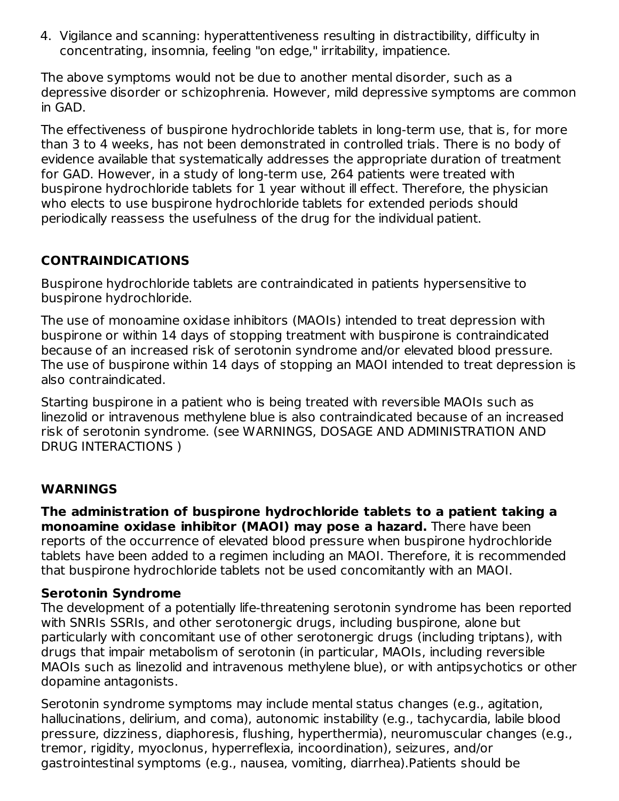4. Vigilance and scanning: hyperattentiveness resulting in distractibility, difficulty in concentrating, insomnia, feeling "on edge," irritability, impatience.

The above symptoms would not be due to another mental disorder, such as a depressive disorder or schizophrenia. However, mild depressive symptoms are common in GAD.

The effectiveness of buspirone hydrochloride tablets in long-term use, that is, for more than 3 to 4 weeks, has not been demonstrated in controlled trials. There is no body of evidence available that systematically addresses the appropriate duration of treatment for GAD. However, in a study of long-term use, 264 patients were treated with buspirone hydrochloride tablets for 1 year without ill effect. Therefore, the physician who elects to use buspirone hydrochloride tablets for extended periods should periodically reassess the usefulness of the drug for the individual patient.

## **CONTRAINDICATIONS**

Buspirone hydrochloride tablets are contraindicated in patients hypersensitive to buspirone hydrochloride.

The use of monoamine oxidase inhibitors (MAOIs) intended to treat depression with buspirone or within 14 days of stopping treatment with buspirone is contraindicated because of an increased risk of serotonin syndrome and/or elevated blood pressure. The use of buspirone within 14 days of stopping an MAOI intended to treat depression is also contraindicated.

Starting buspirone in a patient who is being treated with reversible MAOIs such as linezolid or intravenous methylene blue is also contraindicated because of an increased risk of serotonin syndrome. (see WARNINGS, DOSAGE AND ADMINISTRATION AND DRUG INTERACTIONS )

#### **WARNINGS**

**The administration of buspirone hydrochloride tablets to a patient taking a monoamine oxidase inhibitor (MAOI) may pose a hazard.** There have been reports of the occurrence of elevated blood pressure when buspirone hydrochloride tablets have been added to a regimen including an MAOI. Therefore, it is recommended that buspirone hydrochloride tablets not be used concomitantly with an MAOI.

#### **Serotonin Syndrome**

The development of a potentially life-threatening serotonin syndrome has been reported with SNRIs SSRIs, and other serotonergic drugs, including buspirone, alone but particularly with concomitant use of other serotonergic drugs (including triptans), with drugs that impair metabolism of serotonin (in particular, MAOIs, including reversible MAOIs such as linezolid and intravenous methylene blue), or with antipsychotics or other dopamine antagonists.

Serotonin syndrome symptoms may include mental status changes (e.g., agitation, hallucinations, delirium, and coma), autonomic instability (e.g., tachycardia, labile blood pressure, dizziness, diaphoresis, flushing, hyperthermia), neuromuscular changes (e.g., tremor, rigidity, myoclonus, hyperreflexia, incoordination), seizures, and/or gastrointestinal symptoms (e.g., nausea, vomiting, diarrhea).Patients should be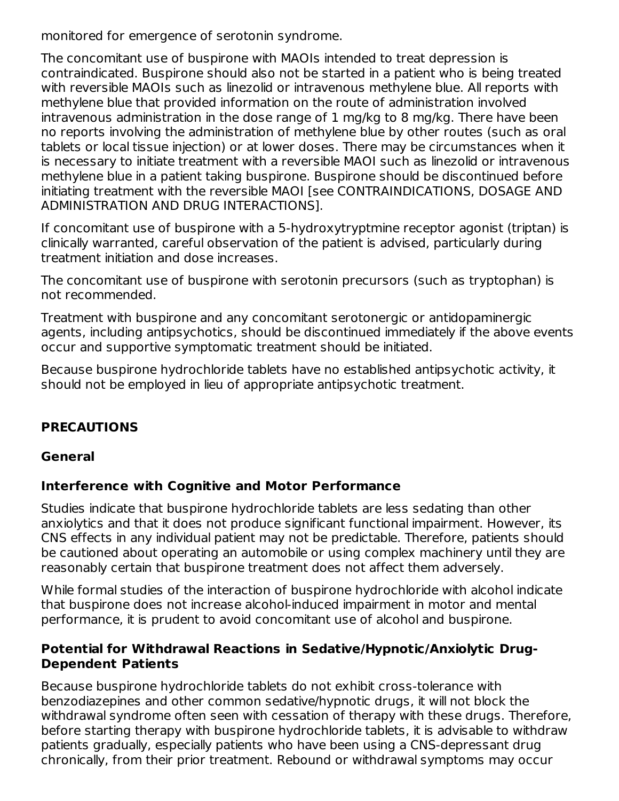monitored for emergence of serotonin syndrome.

The concomitant use of buspirone with MAOIs intended to treat depression is contraindicated. Buspirone should also not be started in a patient who is being treated with reversible MAOIs such as linezolid or intravenous methylene blue. All reports with methylene blue that provided information on the route of administration involved intravenous administration in the dose range of 1 mg/kg to 8 mg/kg. There have been no reports involving the administration of methylene blue by other routes (such as oral tablets or local tissue injection) or at lower doses. There may be circumstances when it is necessary to initiate treatment with a reversible MAOI such as linezolid or intravenous methylene blue in a patient taking buspirone. Buspirone should be discontinued before initiating treatment with the reversible MAOI [see CONTRAINDICATIONS, DOSAGE AND ADMINISTRATION AND DRUG INTERACTIONS].

If concomitant use of buspirone with a 5-hydroxytryptmine receptor agonist (triptan) is clinically warranted, careful observation of the patient is advised, particularly during treatment initiation and dose increases.

The concomitant use of buspirone with serotonin precursors (such as tryptophan) is not recommended.

Treatment with buspirone and any concomitant serotonergic or antidopaminergic agents, including antipsychotics, should be discontinued immediately if the above events occur and supportive symptomatic treatment should be initiated.

Because buspirone hydrochloride tablets have no established antipsychotic activity, it should not be employed in lieu of appropriate antipsychotic treatment.

# **PRECAUTIONS**

#### **General**

#### **Interference with Cognitive and Motor Performance**

Studies indicate that buspirone hydrochloride tablets are less sedating than other anxiolytics and that it does not produce significant functional impairment. However, its CNS effects in any individual patient may not be predictable. Therefore, patients should be cautioned about operating an automobile or using complex machinery until they are reasonably certain that buspirone treatment does not affect them adversely.

While formal studies of the interaction of buspirone hydrochloride with alcohol indicate that buspirone does not increase alcohol-induced impairment in motor and mental performance, it is prudent to avoid concomitant use of alcohol and buspirone.

#### **Potential for Withdrawal Reactions in Sedative/Hypnotic/Anxiolytic Drug-Dependent Patients**

Because buspirone hydrochloride tablets do not exhibit cross-tolerance with benzodiazepines and other common sedative/hypnotic drugs, it will not block the withdrawal syndrome often seen with cessation of therapy with these drugs. Therefore, before starting therapy with buspirone hydrochloride tablets, it is advisable to withdraw patients gradually, especially patients who have been using a CNS-depressant drug chronically, from their prior treatment. Rebound or withdrawal symptoms may occur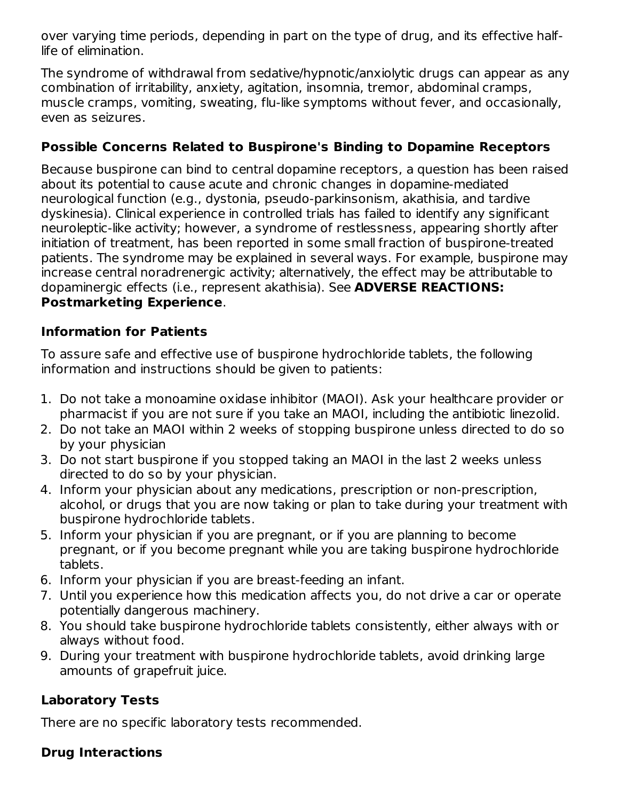over varying time periods, depending in part on the type of drug, and its effective halflife of elimination.

The syndrome of withdrawal from sedative/hypnotic/anxiolytic drugs can appear as any combination of irritability, anxiety, agitation, insomnia, tremor, abdominal cramps, muscle cramps, vomiting, sweating, flu-like symptoms without fever, and occasionally, even as seizures.

## **Possible Concerns Related to Buspirone's Binding to Dopamine Receptors**

Because buspirone can bind to central dopamine receptors, a question has been raised about its potential to cause acute and chronic changes in dopamine-mediated neurological function (e.g., dystonia, pseudo-parkinsonism, akathisia, and tardive dyskinesia). Clinical experience in controlled trials has failed to identify any significant neuroleptic-like activity; however, a syndrome of restlessness, appearing shortly after initiation of treatment, has been reported in some small fraction of buspirone-treated patients. The syndrome may be explained in several ways. For example, buspirone may increase central noradrenergic activity; alternatively, the effect may be attributable to dopaminergic effects (i.e., represent akathisia). See **ADVERSE REACTIONS: Postmarketing Experience**.

#### **Information for Patients**

To assure safe and effective use of buspirone hydrochloride tablets, the following information and instructions should be given to patients:

- 1. Do not take a monoamine oxidase inhibitor (MAOI). Ask your healthcare provider or pharmacist if you are not sure if you take an MAOI, including the antibiotic linezolid.
- 2. Do not take an MAOI within 2 weeks of stopping buspirone unless directed to do so by your physician
- 3. Do not start buspirone if you stopped taking an MAOI in the last 2 weeks unless directed to do so by your physician.
- 4. Inform your physician about any medications, prescription or non-prescription, alcohol, or drugs that you are now taking or plan to take during your treatment with buspirone hydrochloride tablets.
- 5. Inform your physician if you are pregnant, or if you are planning to become pregnant, or if you become pregnant while you are taking buspirone hydrochloride tablets.
- 6. Inform your physician if you are breast-feeding an infant.
- 7. Until you experience how this medication affects you, do not drive a car or operate potentially dangerous machinery.
- 8. You should take buspirone hydrochloride tablets consistently, either always with or always without food.
- 9. During your treatment with buspirone hydrochloride tablets, avoid drinking large amounts of grapefruit juice.

# **Laboratory Tests**

There are no specific laboratory tests recommended.

# **Drug Interactions**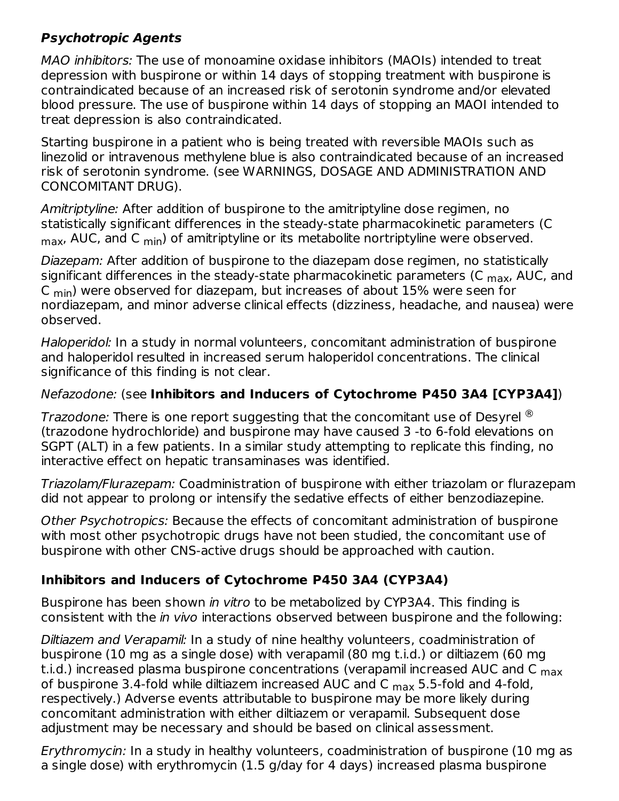## **Psychotropic Agents**

MAO inhibitors: The use of monoamine oxidase inhibitors (MAOIs) intended to treat depression with buspirone or within 14 days of stopping treatment with buspirone is contraindicated because of an increased risk of serotonin syndrome and/or elevated blood pressure. The use of buspirone within 14 days of stopping an MAOI intended to treat depression is also contraindicated.

Starting buspirone in a patient who is being treated with reversible MAOIs such as linezolid or intravenous methylene blue is also contraindicated because of an increased risk of serotonin syndrome. (see WARNINGS, DOSAGE AND ADMINISTRATION AND CONCOMITANT DRUG).

Amitriptyline: After addition of buspirone to the amitriptyline dose regimen, no statistically significant differences in the steady-state pharmacokinetic parameters (C  $_{\sf max}$ , AUC, and C  $_{\sf min}$ ) of amitriptyline or its metabolite nortriptyline were observed.

Diazepam: After addition of buspirone to the diazepam dose regimen, no statistically significant differences in the steady-state pharmacokinetic parameters (C <sub>max</sub>, AUC, and C  $_{\sf min}$ ) were observed for diazepam, but increases of about 15% were seen for nordiazepam, and minor adverse clinical effects (dizziness, headache, and nausea) were observed.

Haloperidol: In a study in normal volunteers, concomitant administration of buspirone and haloperidol resulted in increased serum haloperidol concentrations. The clinical significance of this finding is not clear.

#### Nefazodone: (see **Inhibitors and Inducers of Cytochrome P450 3A4 [CYP3A4]**)

*Trazodone:* There is one report suggesting that the concomitant use of Desyrel  $^{\circledR}$ (trazodone hydrochloride) and buspirone may have caused 3 -to 6-fold elevations on SGPT (ALT) in a few patients. In a similar study attempting to replicate this finding, no interactive effect on hepatic transaminases was identified.

Triazolam/Flurazepam: Coadministration of buspirone with either triazolam or flurazepam did not appear to prolong or intensify the sedative effects of either benzodiazepine.

Other Psychotropics: Because the effects of concomitant administration of buspirone with most other psychotropic drugs have not been studied, the concomitant use of buspirone with other CNS-active drugs should be approached with caution.

#### **Inhibitors and Inducers of Cytochrome P450 3A4 (CYP3A4)**

Buspirone has been shown in vitro to be metabolized by CYP3A4. This finding is consistent with the in vivo interactions observed between buspirone and the following:

Diltiazem and Verapamil: In a study of nine healthy volunteers, coadministration of buspirone (10 mg as a single dose) with verapamil (80 mg t.i.d.) or diltiazem (60 mg t.i.d.) increased plasma buspirone concentrations (verapamil increased AUC and C <sub>max</sub> of buspirone 3.4-fold while diltiazem increased AUC and C  $_{\sf max}$  5.5-fold and 4-fold, respectively.) Adverse events attributable to buspirone may be more likely during concomitant administration with either diltiazem or verapamil. Subsequent dose adjustment may be necessary and should be based on clinical assessment.

Erythromycin: In a study in healthy volunteers, coadministration of buspirone (10 mg as a single dose) with erythromycin (1.5 g/day for 4 days) increased plasma buspirone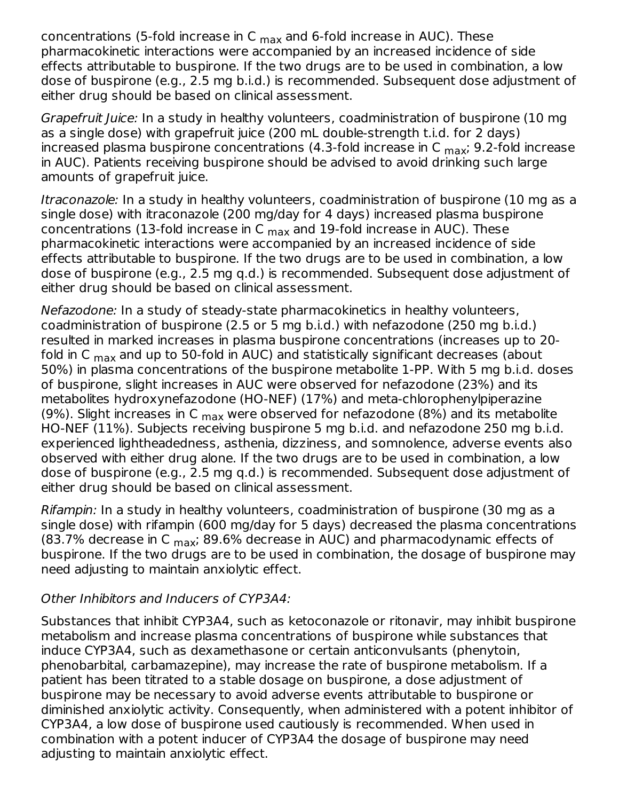concentrations (5-fold increase in C  $_{\sf max}$  and 6-fold increase in AUC). These pharmacokinetic interactions were accompanied by an increased incidence of side effects attributable to buspirone. If the two drugs are to be used in combination, a low dose of buspirone (e.g., 2.5 mg b.i.d.) is recommended. Subsequent dose adjustment of either drug should be based on clinical assessment.

Grapefruit Juice: In a study in healthy volunteers, coadministration of buspirone (10 mg as a single dose) with grapefruit juice (200 mL double-strength t.i.d. for 2 days) increased plasma buspirone concentrations (4.3-fold increase in C <sub>max</sub>; 9.2-fold increase in AUC). Patients receiving buspirone should be advised to avoid drinking such large amounts of grapefruit juice.

Itraconazole: In a study in healthy volunteers, coadministration of buspirone (10 mg as a single dose) with itraconazole (200 mg/day for 4 days) increased plasma buspirone concentrations (13-fold increase in C  $_{\sf max}$  and 19-fold increase in AUC). These pharmacokinetic interactions were accompanied by an increased incidence of side effects attributable to buspirone. If the two drugs are to be used in combination, a low dose of buspirone (e.g., 2.5 mg q.d.) is recommended. Subsequent dose adjustment of either drug should be based on clinical assessment.

Nefazodone: In a study of steady-state pharmacokinetics in healthy volunteers, coadministration of buspirone (2.5 or 5 mg b.i.d.) with nefazodone (250 mg b.i.d.) resulted in marked increases in plasma buspirone concentrations (increases up to 20 fold in C <sub>max</sub> and up to 50-fold in AUC) and statistically significant decreases (about 50%) in plasma concentrations of the buspirone metabolite 1-PP. With 5 mg b.i.d. doses of buspirone, slight increases in AUC were observed for nefazodone (23%) and its metabolites hydroxynefazodone (HO-NEF) (17%) and meta-chlorophenylpiperazine (9%). Slight increases in C  $_{\sf max}$  were observed for nefazodone (8%) and its metabolite HO-NEF (11%). Subjects receiving buspirone 5 mg b.i.d. and nefazodone 250 mg b.i.d. experienced lightheadedness, asthenia, dizziness, and somnolence, adverse events also observed with either drug alone. If the two drugs are to be used in combination, a low dose of buspirone (e.g., 2.5 mg q.d.) is recommended. Subsequent dose adjustment of either drug should be based on clinical assessment.

Rifampin: In a study in healthy volunteers, coadministration of buspirone (30 mg as a single dose) with rifampin (600 mg/day for 5 days) decreased the plasma concentrations (83.7% decrease in C <sub>max</sub>; 89.6% decrease in AUC) and pharmacodynamic effects of buspirone. If the two drugs are to be used in combination, the dosage of buspirone may need adjusting to maintain anxiolytic effect.

#### Other Inhibitors and Inducers of CYP3A4:

Substances that inhibit CYP3A4, such as ketoconazole or ritonavir, may inhibit buspirone metabolism and increase plasma concentrations of buspirone while substances that induce CYP3A4, such as dexamethasone or certain anticonvulsants (phenytoin, phenobarbital, carbamazepine), may increase the rate of buspirone metabolism. If a patient has been titrated to a stable dosage on buspirone, a dose adjustment of buspirone may be necessary to avoid adverse events attributable to buspirone or diminished anxiolytic activity. Consequently, when administered with a potent inhibitor of CYP3A4, a low dose of buspirone used cautiously is recommended. When used in combination with a potent inducer of CYP3A4 the dosage of buspirone may need adjusting to maintain anxiolytic effect.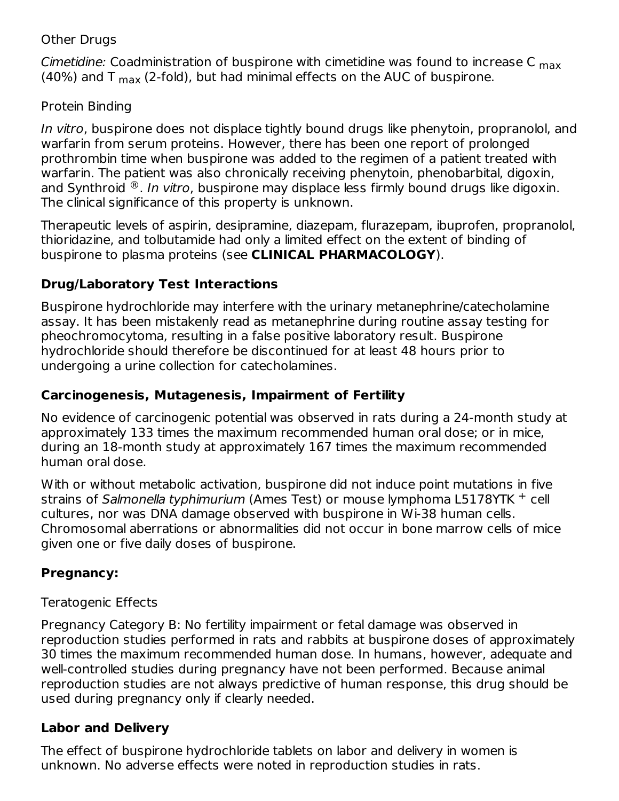#### Other Drugs

*Cimetidine:* Coadministration of buspirone with cimetidine was found to increase C <sub>max</sub> (40%) and T  $_{\sf max}$  (2-fold), but had minimal effects on the AUC of buspirone.

#### Protein Binding

In vitro, buspirone does not displace tightly bound drugs like phenytoin, propranolol, and warfarin from serum proteins. However, there has been one report of prolonged prothrombin time when buspirone was added to the regimen of a patient treated with warfarin. The patient was also chronically receiving phenytoin, phenobarbital, digoxin, and Synthroid  $^{\circledR}$ . I*n vitro*, buspirone may displace less firmly bound drugs like digoxin. The clinical significance of this property is unknown.

Therapeutic levels of aspirin, desipramine, diazepam, flurazepam, ibuprofen, propranolol, thioridazine, and tolbutamide had only a limited effect on the extent of binding of buspirone to plasma proteins (see **CLINICAL PHARMACOLOGY**).

#### **Drug/Laboratory Test Interactions**

Buspirone hydrochloride may interfere with the urinary metanephrine/catecholamine assay. It has been mistakenly read as metanephrine during routine assay testing for pheochromocytoma, resulting in a false positive laboratory result. Buspirone hydrochloride should therefore be discontinued for at least 48 hours prior to undergoing a urine collection for catecholamines.

#### **Carcinogenesis, Mutagenesis, Impairment of Fertility**

No evidence of carcinogenic potential was observed in rats during a 24-month study at approximately 133 times the maximum recommended human oral dose; or in mice, during an 18-month study at approximately 167 times the maximum recommended human oral dose.

With or without metabolic activation, buspirone did not induce point mutations in five strains of Salmonella typhimurium (Ames Test) or mouse lymphoma L5178YTK + cell cultures, nor was DNA damage observed with buspirone in Wi-38 human cells. Chromosomal aberrations or abnormalities did not occur in bone marrow cells of mice given one or five daily doses of buspirone.

#### **Pregnancy:**

#### Teratogenic Effects

Pregnancy Category B: No fertility impairment or fetal damage was observed in reproduction studies performed in rats and rabbits at buspirone doses of approximately 30 times the maximum recommended human dose. In humans, however, adequate and well-controlled studies during pregnancy have not been performed. Because animal reproduction studies are not always predictive of human response, this drug should be used during pregnancy only if clearly needed.

#### **Labor and Delivery**

The effect of buspirone hydrochloride tablets on labor and delivery in women is unknown. No adverse effects were noted in reproduction studies in rats.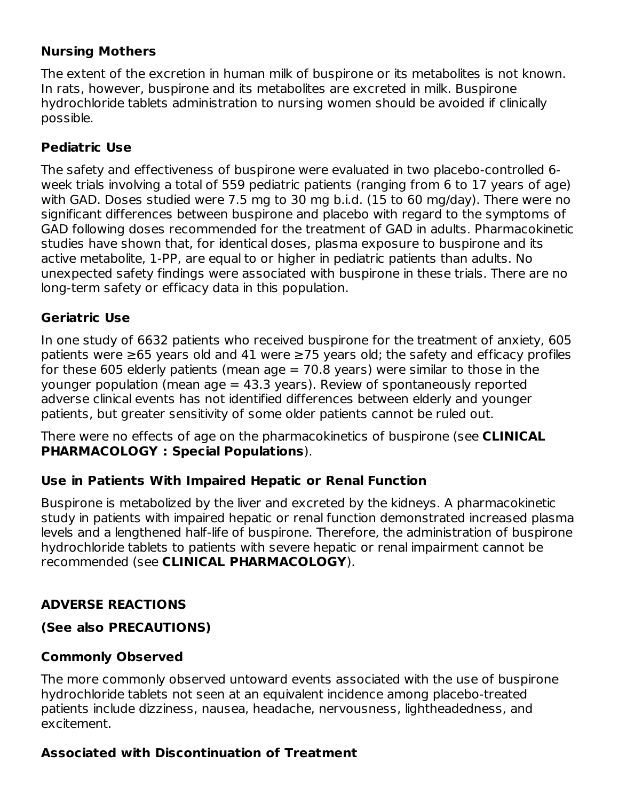#### **Nursing Mothers**

The extent of the excretion in human milk of buspirone or its metabolites is not known. In rats, however, buspirone and its metabolites are excreted in milk. Buspirone hydrochloride tablets administration to nursing women should be avoided if clinically possible.

#### **Pediatric Use**

The safety and effectiveness of buspirone were evaluated in two placebo-controlled 6 week trials involving a total of 559 pediatric patients (ranging from 6 to 17 years of age) with GAD. Doses studied were 7.5 mg to 30 mg b.i.d. (15 to 60 mg/day). There were no significant differences between buspirone and placebo with regard to the symptoms of GAD following doses recommended for the treatment of GAD in adults. Pharmacokinetic studies have shown that, for identical doses, plasma exposure to buspirone and its active metabolite, 1-PP, are equal to or higher in pediatric patients than adults. No unexpected safety findings were associated with buspirone in these trials. There are no long-term safety or efficacy data in this population.

#### **Geriatric Use**

In one study of 6632 patients who received buspirone for the treatment of anxiety, 605 patients were ≥65 years old and 41 were ≥75 years old; the safety and efficacy profiles for these 605 elderly patients (mean age  $= 70.8$  years) were similar to those in the younger population (mean  $age = 43.3$  years). Review of spontaneously reported adverse clinical events has not identified differences between elderly and younger patients, but greater sensitivity of some older patients cannot be ruled out.

There were no effects of age on the pharmacokinetics of buspirone (see **CLINICAL PHARMACOLOGY : Special Populations**).

#### **Use in Patients With Impaired Hepatic or Renal Function**

Buspirone is metabolized by the liver and excreted by the kidneys. A pharmacokinetic study in patients with impaired hepatic or renal function demonstrated increased plasma levels and a lengthened half-life of buspirone. Therefore, the administration of buspirone hydrochloride tablets to patients with severe hepatic or renal impairment cannot be recommended (see **CLINICAL PHARMACOLOGY**).

#### **ADVERSE REACTIONS**

#### **(See also PRECAUTIONS)**

#### **Commonly Observed**

The more commonly observed untoward events associated with the use of buspirone hydrochloride tablets not seen at an equivalent incidence among placebo-treated patients include dizziness, nausea, headache, nervousness, lightheadedness, and excitement.

#### **Associated with Discontinuation of Treatment**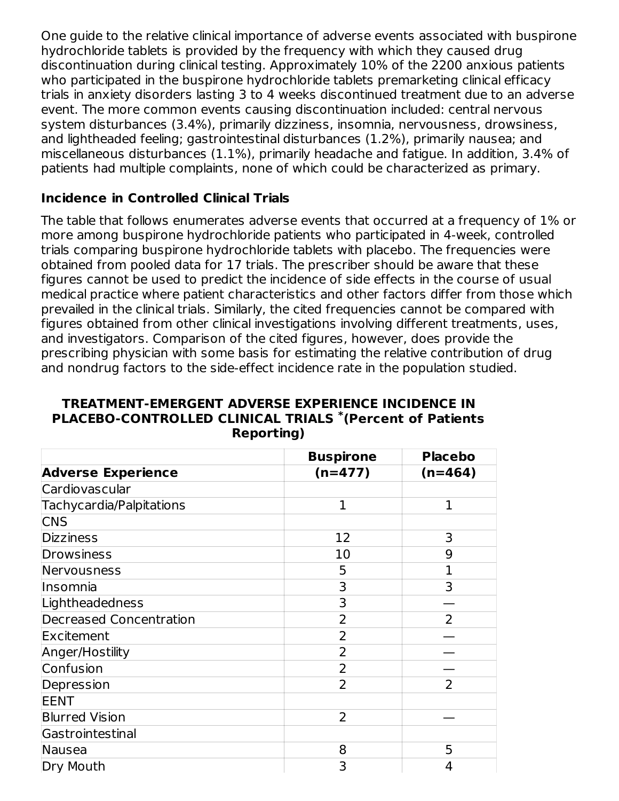One guide to the relative clinical importance of adverse events associated with buspirone hydrochloride tablets is provided by the frequency with which they caused drug discontinuation during clinical testing. Approximately 10% of the 2200 anxious patients who participated in the buspirone hydrochloride tablets premarketing clinical efficacy trials in anxiety disorders lasting 3 to 4 weeks discontinued treatment due to an adverse event. The more common events causing discontinuation included: central nervous system disturbances (3.4%), primarily dizziness, insomnia, nervousness, drowsiness, and lightheaded feeling; gastrointestinal disturbances (1.2%), primarily nausea; and miscellaneous disturbances (1.1%), primarily headache and fatigue. In addition, 3.4% of patients had multiple complaints, none of which could be characterized as primary.

#### **Incidence in Controlled Clinical Trials**

The table that follows enumerates adverse events that occurred at a frequency of 1% or more among buspirone hydrochloride patients who participated in 4-week, controlled trials comparing buspirone hydrochloride tablets with placebo. The frequencies were obtained from pooled data for 17 trials. The prescriber should be aware that these figures cannot be used to predict the incidence of side effects in the course of usual medical practice where patient characteristics and other factors differ from those which prevailed in the clinical trials. Similarly, the cited frequencies cannot be compared with figures obtained from other clinical investigations involving different treatments, uses, and investigators. Comparison of the cited figures, however, does provide the prescribing physician with some basis for estimating the relative contribution of drug and nondrug factors to the side-effect incidence rate in the population studied.

| <b>TREATMENT-EMERGENT ADVERSE EXPERIENCE INCIDENCE IN</b> |
|-----------------------------------------------------------|
| PLACEBO-CONTROLLED CLINICAL TRIALS *(Percent of Patients  |
| <b>Reporting</b> )                                        |

|                                | <b>Buspirone</b> | <b>Placebo</b> |
|--------------------------------|------------------|----------------|
| <b>Adverse Experience</b>      | $(n=477)$        | $(n=464)$      |
| Cardiovascular                 |                  |                |
| Tachycardia/Palpitations       | $\mathbf{1}$     | 1              |
| <b>CNS</b>                     |                  |                |
| <b>Dizziness</b>               | 12               | 3              |
| <b>Drowsiness</b>              | 10               | 9              |
| Nervousness                    | 5                | 1              |
| Insomnia                       | 3                | 3              |
| Lightheadedness                | 3                |                |
| <b>Decreased Concentration</b> | 2                | $\overline{2}$ |
| Excitement                     | 2                |                |
| Anger/Hostility                | $\overline{2}$   |                |
| Confusion                      | 2                |                |
| Depression                     | 2                | 2              |
| <b>EENT</b>                    |                  |                |
| <b>Blurred Vision</b>          | $\overline{2}$   |                |
| Gastrointestinal               |                  |                |
| Nausea                         | 8                | 5              |
| Dry Mouth                      | 3                | 4              |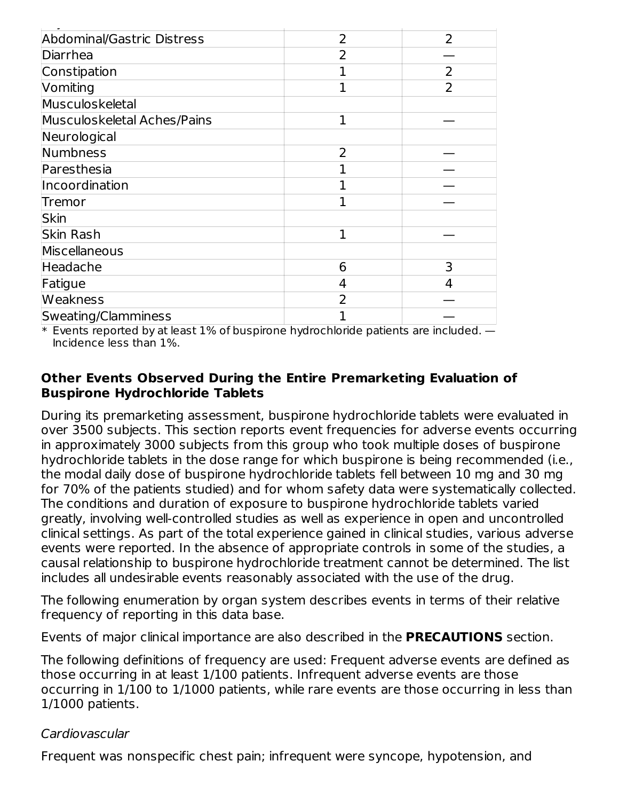| Abdominal/Gastric Distress  | $\overline{2}$ | $\overline{2}$ |
|-----------------------------|----------------|----------------|
| Diarrhea                    | 2              |                |
| Constipation                | 1              | $\overline{2}$ |
| Vomiting                    |                | $\overline{2}$ |
| Musculoskeletal             |                |                |
| Musculoskeletal Aches/Pains | 1              |                |
| Neurological                |                |                |
| Numbness                    | $\overline{2}$ |                |
| Paresthesia                 |                |                |
| Incoordination              |                |                |
| Tremor                      |                |                |
| <b>Skin</b>                 |                |                |
| Skin Rash                   | 1              |                |
| Miscellaneous               |                |                |
| Headache                    | 6              | 3              |
| Fatigue                     | 4              | 4              |
| <b>Weakness</b>             | $\overline{2}$ |                |
| Sweating/Clamminess         |                |                |

 $\hspace{0.1mm}^*$  Events reported by at least 1% of buspirone hydrochloride patients are included.  $-$ Incidence less than 1%.

#### **Other Events Observed During the Entire Premarketing Evaluation of Buspirone Hydrochloride Tablets**

During its premarketing assessment, buspirone hydrochloride tablets were evaluated in over 3500 subjects. This section reports event frequencies for adverse events occurring in approximately 3000 subjects from this group who took multiple doses of buspirone hydrochloride tablets in the dose range for which buspirone is being recommended (i.e., the modal daily dose of buspirone hydrochloride tablets fell between 10 mg and 30 mg for 70% of the patients studied) and for whom safety data were systematically collected. The conditions and duration of exposure to buspirone hydrochloride tablets varied greatly, involving well-controlled studies as well as experience in open and uncontrolled clinical settings. As part of the total experience gained in clinical studies, various adverse events were reported. In the absence of appropriate controls in some of the studies, a causal relationship to buspirone hydrochloride treatment cannot be determined. The list includes all undesirable events reasonably associated with the use of the drug.

The following enumeration by organ system describes events in terms of their relative frequency of reporting in this data base.

Events of major clinical importance are also described in the **PRECAUTIONS** section.

The following definitions of frequency are used: Frequent adverse events are defined as those occurring in at least 1/100 patients. Infrequent adverse events are those occurring in 1/100 to 1/1000 patients, while rare events are those occurring in less than 1/1000 patients.

#### Cardiovascular

Frequent was nonspecific chest pain; infrequent were syncope, hypotension, and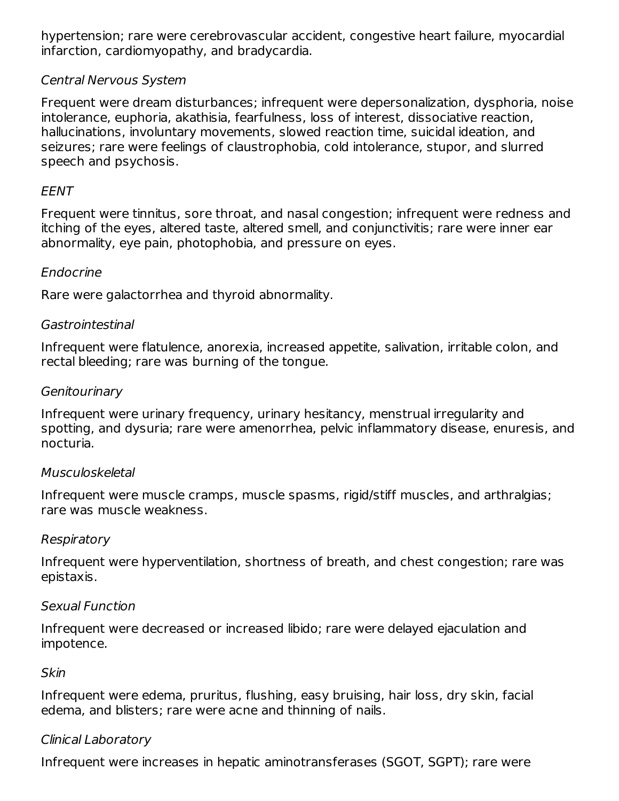hypertension; rare were cerebrovascular accident, congestive heart failure, myocardial infarction, cardiomyopathy, and bradycardia.

#### Central Nervous System

Frequent were dream disturbances; infrequent were depersonalization, dysphoria, noise intolerance, euphoria, akathisia, fearfulness, loss of interest, dissociative reaction, hallucinations, involuntary movements, slowed reaction time, suicidal ideation, and seizures; rare were feelings of claustrophobia, cold intolerance, stupor, and slurred speech and psychosis.

#### EENT

Frequent were tinnitus, sore throat, and nasal congestion; infrequent were redness and itching of the eyes, altered taste, altered smell, and conjunctivitis; rare were inner ear abnormality, eye pain, photophobia, and pressure on eyes.

#### Endocrine

Rare were galactorrhea and thyroid abnormality.

#### Gastrointestinal

Infrequent were flatulence, anorexia, increased appetite, salivation, irritable colon, and rectal bleeding; rare was burning of the tongue.

#### **Genitourinary**

Infrequent were urinary frequency, urinary hesitancy, menstrual irregularity and spotting, and dysuria; rare were amenorrhea, pelvic inflammatory disease, enuresis, and nocturia.

#### Musculoskeletal

Infrequent were muscle cramps, muscle spasms, rigid/stiff muscles, and arthralgias; rare was muscle weakness.

#### Respiratory

Infrequent were hyperventilation, shortness of breath, and chest congestion; rare was epistaxis.

#### Sexual Function

Infrequent were decreased or increased libido; rare were delayed ejaculation and impotence.

#### Skin

Infrequent were edema, pruritus, flushing, easy bruising, hair loss, dry skin, facial edema, and blisters; rare were acne and thinning of nails.

#### Clinical Laboratory

Infrequent were increases in hepatic aminotransferases (SGOT, SGPT); rare were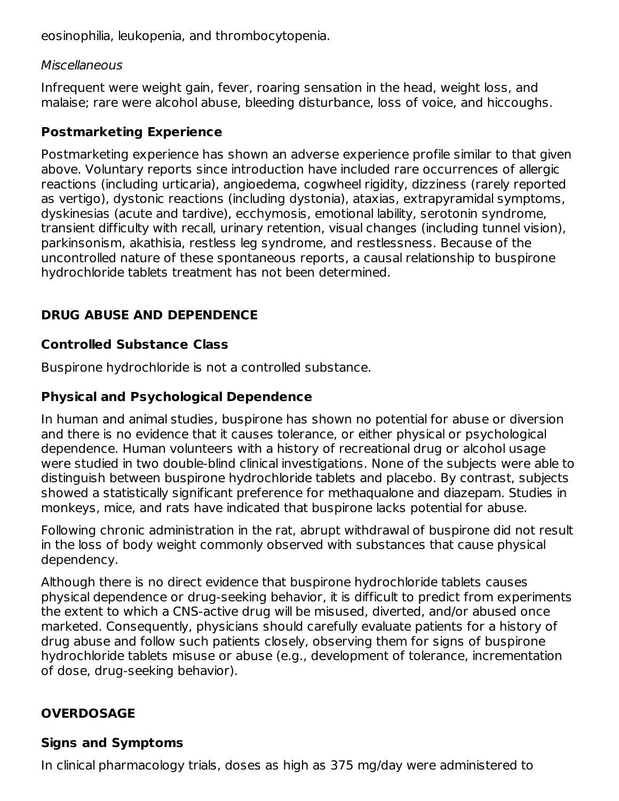eosinophilia, leukopenia, and thrombocytopenia.

#### **Miscellaneous**

Infrequent were weight gain, fever, roaring sensation in the head, weight loss, and malaise; rare were alcohol abuse, bleeding disturbance, loss of voice, and hiccoughs.

#### **Postmarketing Experience**

Postmarketing experience has shown an adverse experience profile similar to that given above. Voluntary reports since introduction have included rare occurrences of allergic reactions (including urticaria), angioedema, cogwheel rigidity, dizziness (rarely reported as vertigo), dystonic reactions (including dystonia), ataxias, extrapyramidal symptoms, dyskinesias (acute and tardive), ecchymosis, emotional lability, serotonin syndrome, transient difficulty with recall, urinary retention, visual changes (including tunnel vision), parkinsonism, akathisia, restless leg syndrome, and restlessness. Because of the uncontrolled nature of these spontaneous reports, a causal relationship to buspirone hydrochloride tablets treatment has not been determined.

## **DRUG ABUSE AND DEPENDENCE**

#### **Controlled Substance Class**

Buspirone hydrochloride is not a controlled substance.

#### **Physical and Psychological Dependence**

In human and animal studies, buspirone has shown no potential for abuse or diversion and there is no evidence that it causes tolerance, or either physical or psychological dependence. Human volunteers with a history of recreational drug or alcohol usage were studied in two double-blind clinical investigations. None of the subjects were able to distinguish between buspirone hydrochloride tablets and placebo. By contrast, subjects showed a statistically significant preference for methaqualone and diazepam. Studies in monkeys, mice, and rats have indicated that buspirone lacks potential for abuse.

Following chronic administration in the rat, abrupt withdrawal of buspirone did not result in the loss of body weight commonly observed with substances that cause physical dependency.

Although there is no direct evidence that buspirone hydrochloride tablets causes physical dependence or drug-seeking behavior, it is difficult to predict from experiments the extent to which a CNS-active drug will be misused, diverted, and/or abused once marketed. Consequently, physicians should carefully evaluate patients for a history of drug abuse and follow such patients closely, observing them for signs of buspirone hydrochloride tablets misuse or abuse (e.g., development of tolerance, incrementation of dose, drug-seeking behavior).

# **OVERDOSAGE**

#### **Signs and Symptoms**

In clinical pharmacology trials, doses as high as 375 mg/day were administered to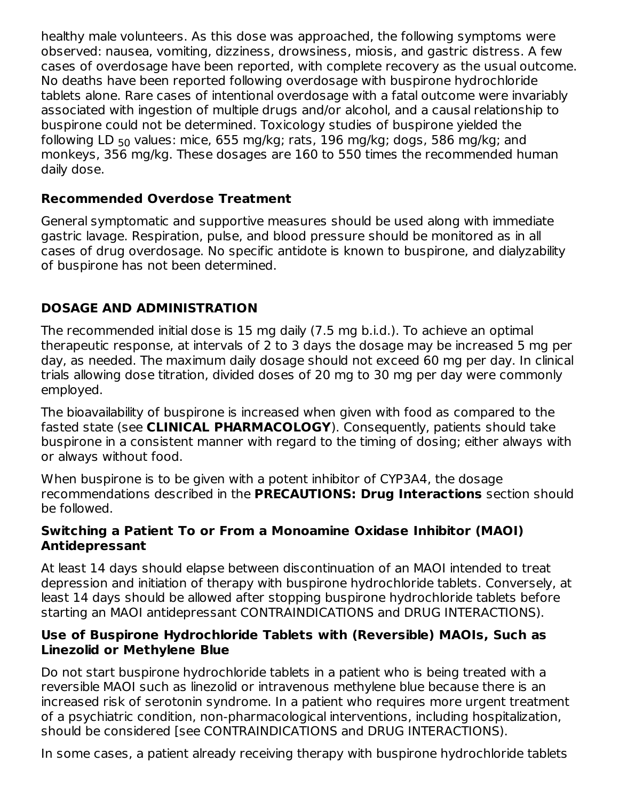healthy male volunteers. As this dose was approached, the following symptoms were observed: nausea, vomiting, dizziness, drowsiness, miosis, and gastric distress. A few cases of overdosage have been reported, with complete recovery as the usual outcome. No deaths have been reported following overdosage with buspirone hydrochloride tablets alone. Rare cases of intentional overdosage with a fatal outcome were invariably associated with ingestion of multiple drugs and/or alcohol, and a causal relationship to buspirone could not be determined. Toxicology studies of buspirone yielded the following LD <sub>50</sub> values: mice, 655 mg/kg; rats, 196 mg/kg; dogs, 586 mg/kg; and monkeys, 356 mg/kg. These dosages are 160 to 550 times the recommended human daily dose.

## **Recommended Overdose Treatment**

General symptomatic and supportive measures should be used along with immediate gastric lavage. Respiration, pulse, and blood pressure should be monitored as in all cases of drug overdosage. No specific antidote is known to buspirone, and dialyzability of buspirone has not been determined.

# **DOSAGE AND ADMINISTRATION**

The recommended initial dose is 15 mg daily (7.5 mg b.i.d.). To achieve an optimal therapeutic response, at intervals of 2 to 3 days the dosage may be increased 5 mg per day, as needed. The maximum daily dosage should not exceed 60 mg per day. In clinical trials allowing dose titration, divided doses of 20 mg to 30 mg per day were commonly employed.

The bioavailability of buspirone is increased when given with food as compared to the fasted state (see **CLINICAL PHARMACOLOGY**). Consequently, patients should take buspirone in a consistent manner with regard to the timing of dosing; either always with or always without food.

When buspirone is to be given with a potent inhibitor of CYP3A4, the dosage recommendations described in the **PRECAUTIONS: Drug Interactions** section should be followed.

#### **Switching a Patient To or From a Monoamine Oxidase Inhibitor (MAOI) Antidepressant**

At least 14 days should elapse between discontinuation of an MAOI intended to treat depression and initiation of therapy with buspirone hydrochloride tablets. Conversely, at least 14 days should be allowed after stopping buspirone hydrochloride tablets before starting an MAOI antidepressant CONTRAINDICATIONS and DRUG INTERACTIONS).

#### **Use of Buspirone Hydrochloride Tablets with (Reversible) MAOIs, Such as Linezolid or Methylene Blue**

Do not start buspirone hydrochloride tablets in a patient who is being treated with a reversible MAOI such as linezolid or intravenous methylene blue because there is an increased risk of serotonin syndrome. In a patient who requires more urgent treatment of a psychiatric condition, non-pharmacological interventions, including hospitalization, should be considered [see CONTRAINDICATIONS and DRUG INTERACTIONS).

In some cases, a patient already receiving therapy with buspirone hydrochloride tablets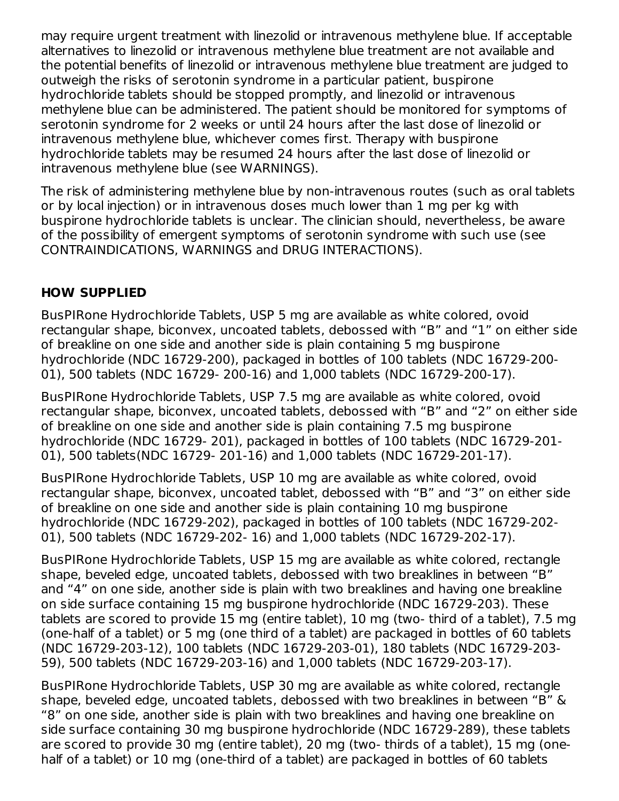may require urgent treatment with linezolid or intravenous methylene blue. If acceptable alternatives to linezolid or intravenous methylene blue treatment are not available and the potential benefits of linezolid or intravenous methylene blue treatment are judged to outweigh the risks of serotonin syndrome in a particular patient, buspirone hydrochloride tablets should be stopped promptly, and linezolid or intravenous methylene blue can be administered. The patient should be monitored for symptoms of serotonin syndrome for 2 weeks or until 24 hours after the last dose of linezolid or intravenous methylene blue, whichever comes first. Therapy with buspirone hydrochloride tablets may be resumed 24 hours after the last dose of linezolid or intravenous methylene blue (see WARNINGS).

The risk of administering methylene blue by non-intravenous routes (such as oral tablets or by local injection) or in intravenous doses much lower than 1 mg per kg with buspirone hydrochloride tablets is unclear. The clinician should, nevertheless, be aware of the possibility of emergent symptoms of serotonin syndrome with such use (see CONTRAINDICATIONS, WARNINGS and DRUG INTERACTIONS).

#### **HOW SUPPLIED**

BusPIRone Hydrochloride Tablets, USP 5 mg are available as white colored, ovoid rectangular shape, biconvex, uncoated tablets, debossed with "B" and "1" on either side of breakline on one side and another side is plain containing 5 mg buspirone hydrochloride (NDC 16729-200), packaged in bottles of 100 tablets (NDC 16729-200- 01), 500 tablets (NDC 16729- 200-16) and 1,000 tablets (NDC 16729-200-17).

BusPIRone Hydrochloride Tablets, USP 7.5 mg are available as white colored, ovoid rectangular shape, biconvex, uncoated tablets, debossed with "B" and "2" on either side of breakline on one side and another side is plain containing 7.5 mg buspirone hydrochloride (NDC 16729- 201), packaged in bottles of 100 tablets (NDC 16729-201- 01), 500 tablets(NDC 16729- 201-16) and 1,000 tablets (NDC 16729-201-17).

BusPIRone Hydrochloride Tablets, USP 10 mg are available as white colored, ovoid rectangular shape, biconvex, uncoated tablet, debossed with "B" and "3" on either side of breakline on one side and another side is plain containing 10 mg buspirone hydrochloride (NDC 16729-202), packaged in bottles of 100 tablets (NDC 16729-202- 01), 500 tablets (NDC 16729-202- 16) and 1,000 tablets (NDC 16729-202-17).

BusPIRone Hydrochloride Tablets, USP 15 mg are available as white colored, rectangle shape, beveled edge, uncoated tablets, debossed with two breaklines in between "B" and "4" on one side, another side is plain with two breaklines and having one breakline on side surface containing 15 mg buspirone hydrochloride (NDC 16729-203). These tablets are scored to provide 15 mg (entire tablet), 10 mg (two- third of a tablet), 7.5 mg (one-half of a tablet) or 5 mg (one third of a tablet) are packaged in bottles of 60 tablets (NDC 16729-203-12), 100 tablets (NDC 16729-203-01), 180 tablets (NDC 16729-203- 59), 500 tablets (NDC 16729-203-16) and 1,000 tablets (NDC 16729-203-17).

BusPIRone Hydrochloride Tablets, USP 30 mg are available as white colored, rectangle shape, beveled edge, uncoated tablets, debossed with two breaklines in between "B" & "8" on one side, another side is plain with two breaklines and having one breakline on side surface containing 30 mg buspirone hydrochloride (NDC 16729-289), these tablets are scored to provide 30 mg (entire tablet), 20 mg (two- thirds of a tablet), 15 mg (onehalf of a tablet) or 10 mg (one-third of a tablet) are packaged in bottles of 60 tablets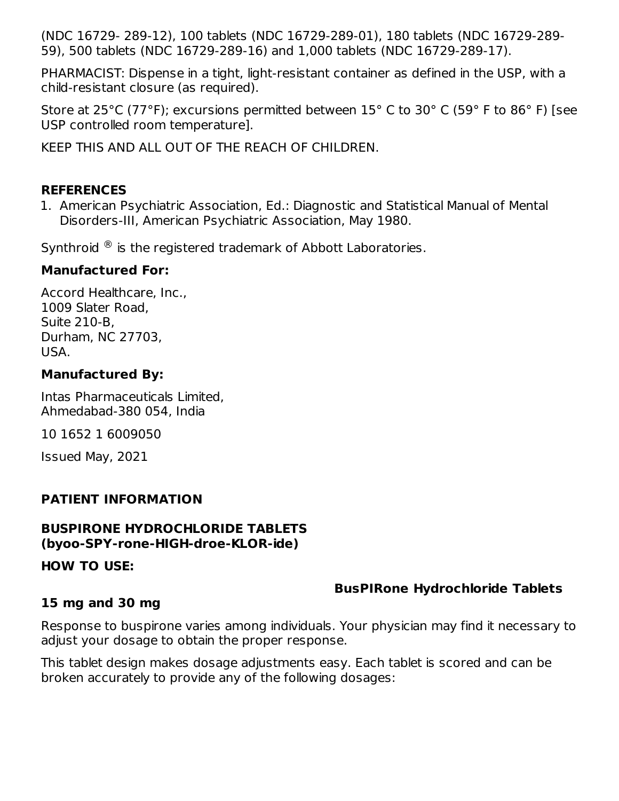(NDC 16729- 289-12), 100 tablets (NDC 16729-289-01), 180 tablets (NDC 16729-289- 59), 500 tablets (NDC 16729-289-16) and 1,000 tablets (NDC 16729-289-17).

PHARMACIST: Dispense in a tight, light-resistant container as defined in the USP, with a child-resistant closure (as required).

Store at 25°C (77°F); excursions permitted between 15° C to 30° C (59° F to 86° F) [see USP controlled room temperature].

KEEP THIS AND ALL OUT OF THE REACH OF CHILDREN.

#### **REFERENCES**

1. American Psychiatric Association, Ed.: Diagnostic and Statistical Manual of Mental Disorders-III, American Psychiatric Association, May 1980.

Synthroid  $\mathcal{R}$  is the registered trademark of Abbott Laboratories.

#### **Manufactured For:**

Accord Healthcare, Inc., 1009 Slater Road, Suite 210-B, Durham, NC 27703, USA.

#### **Manufactured By:**

Intas Pharmaceuticals Limited, Ahmedabad-380 054, India

10 1652 1 6009050

Issued May, 2021

#### **PATIENT INFORMATION**

#### **BUSPIRONE HYDROCHLORIDE TABLETS (byoo-SPY-rone-HIGH-droe-KLOR-ide)**

**HOW TO USE:**

#### **BusPIRone Hydrochloride Tablets**

#### **15 mg and 30 mg**

Response to buspirone varies among individuals. Your physician may find it necessary to adjust your dosage to obtain the proper response.

This tablet design makes dosage adjustments easy. Each tablet is scored and can be broken accurately to provide any of the following dosages: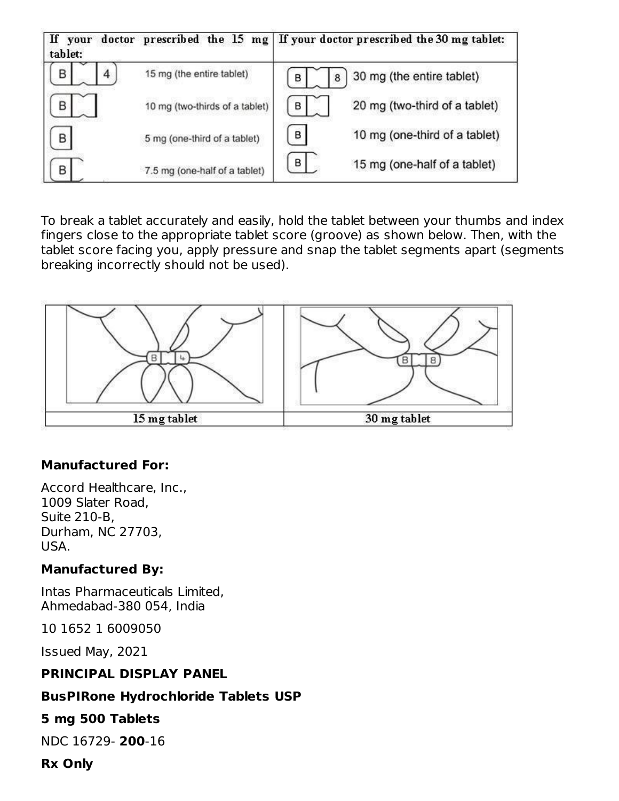| If<br>your<br>tablet: |                                | doctor prescribed the 15 mg   If your doctor prescribed the 30 mg tablet: |
|-----------------------|--------------------------------|---------------------------------------------------------------------------|
| В<br>4                | 15 mg (the entire tablet)      | 30 mg (the entire tablet)<br>в<br>8                                       |
| В                     | 10 mg (two-thirds of a tablet) | 20 mg (two-third of a tablet)<br>B                                        |
| B                     | 5 mg (one-third of a tablet)   | B<br>10 mg (one-third of a tablet)                                        |
|                       | 7.5 mg (one-half of a tablet)  | в<br>15 mg (one-half of a tablet)                                         |

To break a tablet accurately and easily, hold the tablet between your thumbs and index fingers close to the appropriate tablet score (groove) as shown below. Then, with the tablet score facing you, apply pressure and snap the tablet segments apart (segments breaking incorrectly should not be used).



#### **Manufactured For:**

Accord Healthcare, Inc., 1009 Slater Road, Suite 210-B, Durham, NC 27703, USA.

#### **Manufactured By:**

Intas Pharmaceuticals Limited, Ahmedabad-380 054, India

10 1652 1 6009050

Issued May, 2021

#### **PRINCIPAL DISPLAY PANEL**

#### **BusPIRone Hydrochloride Tablets USP**

#### **5 mg 500 Tablets**

NDC 16729- **200**-16

#### **Rx Only**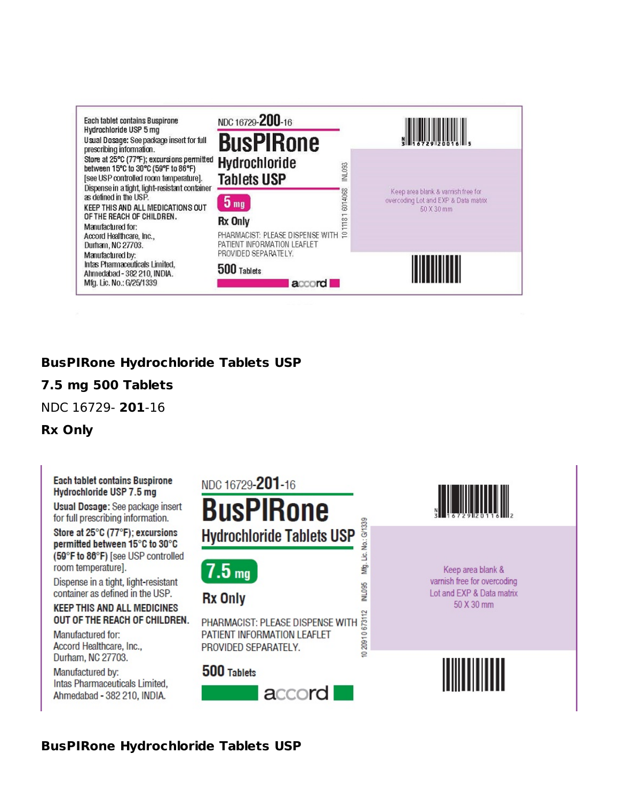

#### **BusPIRone Hydrochloride Tablets USP**

#### **7.5 mg 500 Tablets**

NDC 16729- **201**-16

#### **Rx Only**

#### **Each tablet contains Buspirone** Hydrochloride USP 7.5 mg

Usual Dosage: See package insert for full prescribing information.

Store at 25°C (77°F); excursions permitted between 15°C to 30°C (59°F to 86°F) [see USP controlled room temperature].

Dispense in a tight, light-resistant container as defined in the USP.

#### **KEEP THIS AND ALL MEDICINES** OUT OF THE REACH OF CHILDREN.

Manufactured for: Accord Healthcare, Inc., Durham, NC 27703.

Manufactured by: Intas Pharmaceuticals Limited, Ahmedabad - 382 210, INDIA.

# NDC 16729-201-16

# **BusPIRone Hydrochloride Tablets USP**

No.: G/1339

غل

Мģ.

NL095

 $7.5<sub>mg</sub>$ 

## **Rx Only**

20910673112 PHARMACIST: PLEASE DISPENSE WITH PATIENT INFORMATION LEAFLET PROVIDED SEPARATELY.

#### 500 Tablets





Keep area blank & varnish free for overcoding Lot and EXP & Data matrix 50 X 30 mm

**BusPIRone Hydrochloride Tablets USP**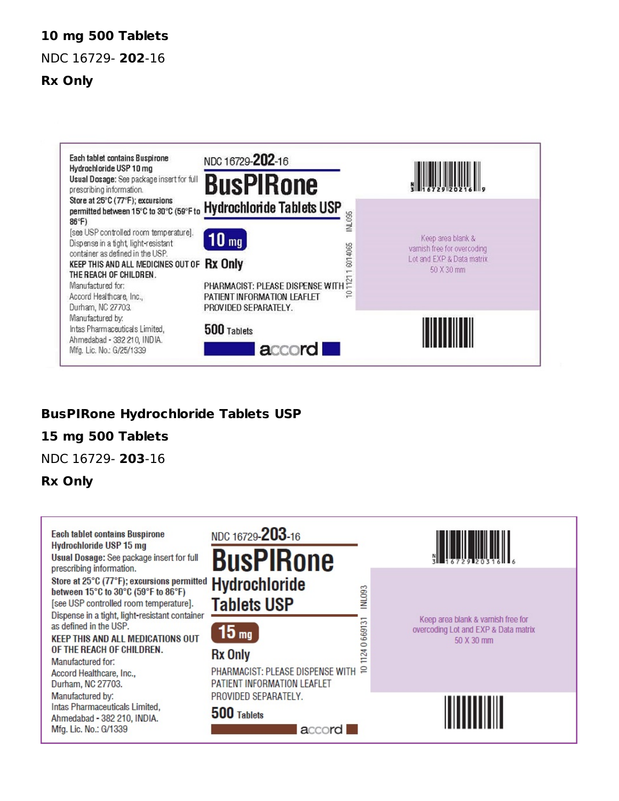#### **10 mg 500 Tablets**

NDC 16729- **202**-16

#### **Rx Only**



#### **BusPIRone Hydrochloride Tablets USP**

#### **15 mg 500 Tablets**

NDC 16729- **203**-16

#### **Rx Only**

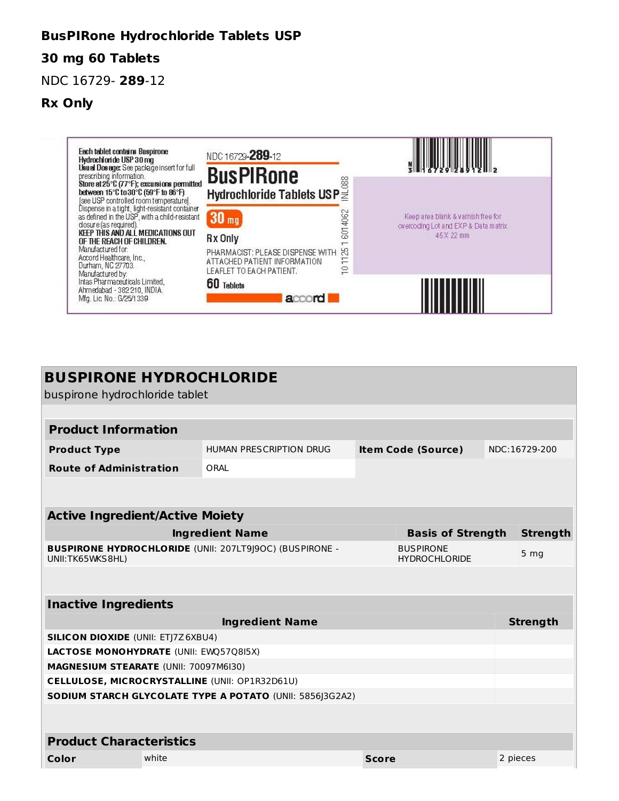#### **BusPIRone Hydrochloride Tablets USP**

#### **30 mg 60 Tablets**

#### NDC 16729- **289**-12

#### **Rx Only**



| <b>BUSPIRONE HYDROCHLORIDE</b><br>buspirone hydrochloride tablet                                       |       |                                                          |              |                           |  |                 |  |
|--------------------------------------------------------------------------------------------------------|-------|----------------------------------------------------------|--------------|---------------------------|--|-----------------|--|
|                                                                                                        |       |                                                          |              |                           |  |                 |  |
|                                                                                                        |       |                                                          |              |                           |  |                 |  |
| <b>Product Information</b>                                                                             |       |                                                          |              |                           |  |                 |  |
| <b>Product Type</b>                                                                                    |       | HUMAN PRESCRIPTION DRUG                                  |              | <b>Item Code (Source)</b> |  | NDC:16729-200   |  |
| <b>Route of Administration</b>                                                                         |       | ORAL                                                     |              |                           |  |                 |  |
|                                                                                                        |       |                                                          |              |                           |  |                 |  |
|                                                                                                        |       |                                                          |              |                           |  |                 |  |
| <b>Active Ingredient/Active Moiety</b>                                                                 |       |                                                          |              |                           |  |                 |  |
|                                                                                                        |       | <b>Ingredient Name</b>                                   |              | <b>Basis of Strength</b>  |  | <b>Strength</b> |  |
| <b>BUSPIRONE HYDROCHLORIDE (UNII: 207LT9J9OC) (BUSPIRONE -</b><br><b>BUSPIRONE</b><br>UNII:TK65WKS8HL) |       |                                                          |              | <b>HYDROCHLORIDE</b>      |  | 5 <sub>mg</sub> |  |
|                                                                                                        |       |                                                          |              |                           |  |                 |  |
| <b>Inactive Ingredients</b>                                                                            |       |                                                          |              |                           |  |                 |  |
|                                                                                                        |       | <b>Ingredient Name</b>                                   |              |                           |  | <b>Strength</b> |  |
| <b>SILICON DIOXIDE (UNII: ETJ7Z6XBU4)</b>                                                              |       |                                                          |              |                           |  |                 |  |
| LACTOSE MONOHYDRATE (UNII: EWQ57Q8I5X)                                                                 |       |                                                          |              |                           |  |                 |  |
| MAGNESIUM STEARATE (UNII: 70097M6I30)                                                                  |       |                                                          |              |                           |  |                 |  |
|                                                                                                        |       | CELLULOSE, MICROCRYSTALLINE (UNII: OP1R32D61U)           |              |                           |  |                 |  |
|                                                                                                        |       | SODIUM STARCH GLYCOLATE TYPE A POTATO (UNII: 5856J3G2A2) |              |                           |  |                 |  |
|                                                                                                        |       |                                                          |              |                           |  |                 |  |
|                                                                                                        |       |                                                          |              |                           |  |                 |  |
| <b>Product Characteristics</b>                                                                         |       |                                                          |              |                           |  |                 |  |
| Color                                                                                                  | white |                                                          | <b>Score</b> |                           |  | 2 pieces        |  |
|                                                                                                        |       |                                                          |              |                           |  |                 |  |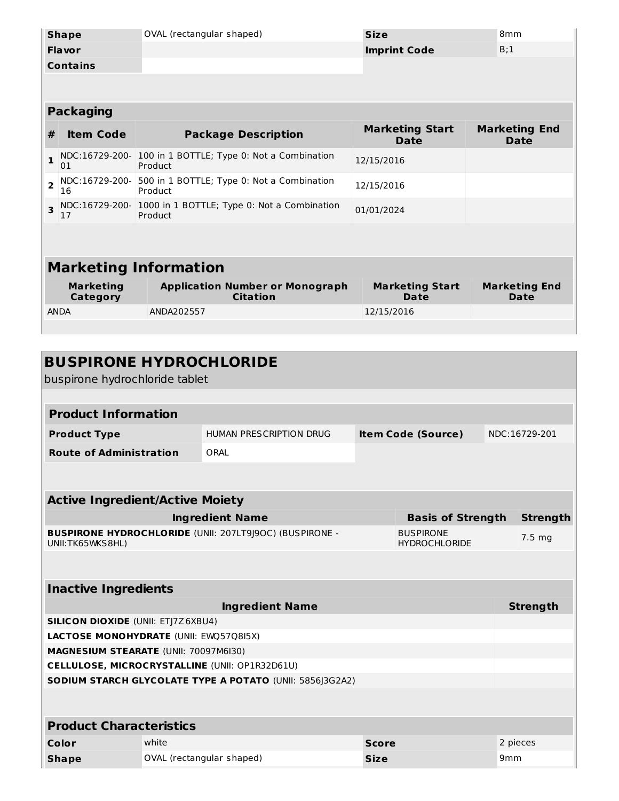| <b>Shape</b>                                                                              |                                                                             | OVAL (rectangular shaped)                                            | <b>Size</b>                         | 8 <sub>mm</sub>                     |  |  |  |  |
|-------------------------------------------------------------------------------------------|-----------------------------------------------------------------------------|----------------------------------------------------------------------|-------------------------------------|-------------------------------------|--|--|--|--|
| <b>Flavor</b><br><b>Imprint Code</b>                                                      |                                                                             |                                                                      | B;1                                 |                                     |  |  |  |  |
|                                                                                           | <b>Contains</b>                                                             |                                                                      |                                     |                                     |  |  |  |  |
|                                                                                           |                                                                             |                                                                      |                                     |                                     |  |  |  |  |
|                                                                                           |                                                                             |                                                                      |                                     |                                     |  |  |  |  |
|                                                                                           | <b>Packaging</b>                                                            |                                                                      |                                     |                                     |  |  |  |  |
| #                                                                                         | <b>Item Code</b>                                                            | <b>Package Description</b>                                           | <b>Marketing Start</b><br>Date      | <b>Marketing End</b><br><b>Date</b> |  |  |  |  |
| $\mathbf{1}$                                                                              | 01                                                                          | NDC:16729-200- 100 in 1 BOTTLE; Type 0: Not a Combination<br>Product | 12/15/2016                          |                                     |  |  |  |  |
| $\overline{2}$                                                                            | NDC:16729-200-<br>16                                                        | 500 in 1 BOTTLE; Type 0: Not a Combination<br>Product                | 12/15/2016                          |                                     |  |  |  |  |
| $\overline{\mathbf{3}}$                                                                   | NDC:16729-200- 1000 in 1 BOTTLE; Type 0: Not a Combination<br>Product<br>17 |                                                                      | 01/01/2024                          |                                     |  |  |  |  |
|                                                                                           |                                                                             |                                                                      |                                     |                                     |  |  |  |  |
|                                                                                           |                                                                             |                                                                      |                                     |                                     |  |  |  |  |
|                                                                                           |                                                                             | <b>Marketing Information</b>                                         |                                     |                                     |  |  |  |  |
| <b>Marketing</b><br><b>Application Number or Monograph</b><br><b>Citation</b><br>Category |                                                                             | <b>Marketing Start</b><br><b>Date</b>                                | <b>Marketing End</b><br><b>Date</b> |                                     |  |  |  |  |
|                                                                                           | <b>ANDA</b>                                                                 | ANDA202557                                                           | 12/15/2016                          |                                     |  |  |  |  |
|                                                                                           |                                                                             |                                                                      |                                     |                                     |  |  |  |  |

| <b>BUSPIRONE HYDROCHLORIDE</b><br>buspirone hydrochloride tablet                    |                                                          |              |                                          |                 |                   |
|-------------------------------------------------------------------------------------|----------------------------------------------------------|--------------|------------------------------------------|-----------------|-------------------|
|                                                                                     |                                                          |              |                                          |                 |                   |
| <b>Product Information</b>                                                          |                                                          |              |                                          |                 |                   |
| <b>Product Type</b>                                                                 | HUMAN PRESCRIPTION DRUG                                  |              | <b>Item Code (Source)</b>                |                 | NDC:16729-201     |
| <b>Route of Administration</b>                                                      | ORAI                                                     |              |                                          |                 |                   |
|                                                                                     |                                                          |              |                                          |                 |                   |
|                                                                                     |                                                          |              |                                          |                 |                   |
| <b>Active Ingredient/Active Moiety</b>                                              |                                                          |              |                                          |                 |                   |
|                                                                                     | <b>Ingredient Name</b>                                   |              | <b>Basis of Strength</b>                 |                 | <b>Strength</b>   |
| <b>BUSPIRONE HYDROCHLORIDE (UNII: 207LT9J9OC) (BUSPIRONE -</b><br>UNII: TK65WKS8HL) |                                                          |              | <b>BUSPIRONE</b><br><b>HYDROCHLORIDE</b> |                 | 7.5 <sub>mg</sub> |
|                                                                                     |                                                          |              |                                          |                 |                   |
| <b>Inactive Ingredients</b>                                                         |                                                          |              |                                          |                 |                   |
|                                                                                     | <b>Ingredient Name</b>                                   |              |                                          |                 | <b>Strength</b>   |
| <b>SILICON DIOXIDE (UNII: ETJ7Z6XBU4)</b>                                           |                                                          |              |                                          |                 |                   |
| LACTOSE MONOHYDRATE (UNII: EWQ57Q8I5X)                                              |                                                          |              |                                          |                 |                   |
| <b>MAGNESIUM STEARATE (UNII: 70097M6I30)</b>                                        |                                                          |              |                                          |                 |                   |
| <b>CELLULOSE, MICROCRYSTALLINE (UNII: OP1R32D61U)</b>                               |                                                          |              |                                          |                 |                   |
|                                                                                     | SODIUM STARCH GLYCOLATE TYPE A POTATO (UNII: 5856J3G2A2) |              |                                          |                 |                   |
|                                                                                     |                                                          |              |                                          |                 |                   |
| <b>Product Characteristics</b>                                                      |                                                          |              |                                          |                 |                   |
| Color<br>white                                                                      |                                                          | <b>Score</b> |                                          |                 | 2 pieces          |
| <b>Shape</b>                                                                        | OVAL (rectangular shaped)                                | <b>Size</b>  |                                          | 9 <sub>mm</sub> |                   |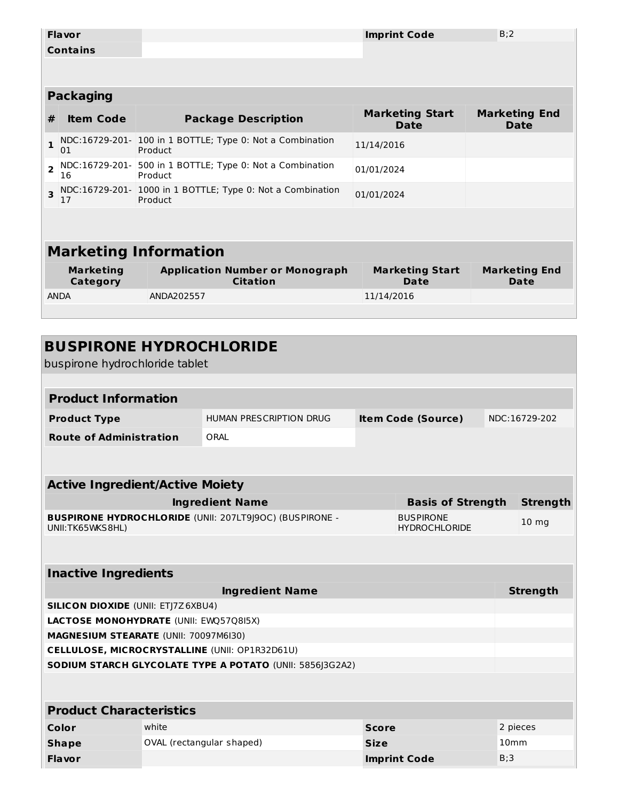|                                | <b>Flavor</b>                          |            |                                                                |            |            | <b>Imprint Code</b>                      | B:2 |                                     |
|--------------------------------|----------------------------------------|------------|----------------------------------------------------------------|------------|------------|------------------------------------------|-----|-------------------------------------|
|                                | <b>Contains</b>                        |            |                                                                |            |            |                                          |     |                                     |
|                                |                                        |            |                                                                |            |            |                                          |     |                                     |
|                                | <b>Packaging</b>                       |            |                                                                |            |            |                                          |     |                                     |
| #                              | <b>Item Code</b>                       |            | <b>Package Description</b>                                     |            |            | <b>Marketing Start</b><br><b>Date</b>    |     | <b>Marketing End</b><br><b>Date</b> |
| $\mathbf{1}$                   | 01                                     | Product    | NDC:16729-201- 100 in 1 BOTTLE; Type 0: Not a Combination      |            | 11/14/2016 |                                          |     |                                     |
| $\overline{2}$                 | NDC:16729-201-<br>16                   | Product    | 500 in 1 BOTTLE; Type 0: Not a Combination                     |            | 01/01/2024 |                                          |     |                                     |
| $\overline{\mathbf{3}}$        | 17                                     | Product    | NDC:16729-201- 1000 in 1 BOTTLE; Type 0: Not a Combination     |            | 01/01/2024 |                                          |     |                                     |
|                                |                                        |            |                                                                |            |            |                                          |     |                                     |
|                                | <b>Marketing Information</b>           |            |                                                                |            |            |                                          |     |                                     |
|                                |                                        |            |                                                                |            |            |                                          |     |                                     |
|                                | <b>Marketing</b><br>Category           |            | <b>Application Number or Monograph</b><br><b>Citation</b>      |            |            | <b>Marketing Start</b><br>Date           |     | <b>Marketing End</b><br>Date        |
| <b>ANDA</b>                    |                                        | ANDA202557 |                                                                | 11/14/2016 |            |                                          |     |                                     |
|                                |                                        |            |                                                                |            |            |                                          |     |                                     |
|                                |                                        |            |                                                                |            |            |                                          |     |                                     |
|                                | <b>BUSPIRONE HYDROCHLORIDE</b>         |            |                                                                |            |            |                                          |     |                                     |
|                                | buspirone hydrochloride tablet         |            |                                                                |            |            |                                          |     |                                     |
|                                |                                        |            |                                                                |            |            |                                          |     |                                     |
|                                | <b>Product Information</b>             |            |                                                                |            |            |                                          |     |                                     |
|                                | <b>Product Type</b>                    |            | <b>HUMAN PRESCRIPTION DRUG</b>                                 |            |            | <b>Item Code (Source)</b>                |     | NDC:16729-202                       |
| <b>Route of Administration</b> |                                        |            | ORAL                                                           |            |            |                                          |     |                                     |
|                                |                                        |            |                                                                |            |            |                                          |     |                                     |
|                                | <b>Active Ingredient/Active Moiety</b> |            |                                                                |            |            |                                          |     |                                     |
|                                |                                        |            | <b>Ingredient Name</b>                                         |            |            | <b>Basis of Strength</b>                 |     | <b>Strength</b>                     |
|                                | UNII: TK65WKS8HL)                      |            | <b>BUSPIRONE HYDROCHLORIDE (UNII: 207LT9J9OC) (BUSPIRONE -</b> |            |            | <b>BUSPIRONE</b><br><b>HYDROCHLORIDE</b> |     | 10 <sub>mg</sub>                    |

| <b>Inactive Ingredients</b> |
|-----------------------------|
|-----------------------------|

| <b>THACLIVE THAT CAIGHLY</b>                                    |                                              |                     |                  |  |  |  |  |  |
|-----------------------------------------------------------------|----------------------------------------------|---------------------|------------------|--|--|--|--|--|
|                                                                 | <b>Strength</b>                              |                     |                  |  |  |  |  |  |
| <b>SILICON DIOXIDE (UNII: ETI7Z6XBU4)</b>                       |                                              |                     |                  |  |  |  |  |  |
| <b>LACTOSE MONOHYDRATE (UNII: EWQ57Q8I5X)</b>                   |                                              |                     |                  |  |  |  |  |  |
|                                                                 | <b>MAGNESIUM STEARATE (UNII: 70097M6I30)</b> |                     |                  |  |  |  |  |  |
| <b>CELLULOSE, MICROCRYSTALLINE (UNII: OP1R32D61U)</b>           |                                              |                     |                  |  |  |  |  |  |
| <b>SODIUM STARCH GLYCOLATE TYPE A POTATO (UNII: 5856 3G2A2)</b> |                                              |                     |                  |  |  |  |  |  |
|                                                                 |                                              |                     |                  |  |  |  |  |  |
|                                                                 |                                              |                     |                  |  |  |  |  |  |
| <b>Product Characteristics</b>                                  |                                              |                     |                  |  |  |  |  |  |
| Color                                                           | white                                        | <b>Score</b>        | 2 pieces         |  |  |  |  |  |
| <b>Shape</b>                                                    | OVAL (rectangular shaped)                    | <b>Size</b>         | 10 <sub>mm</sub> |  |  |  |  |  |
| <b>Flavor</b>                                                   |                                              | <b>Imprint Code</b> | B:3              |  |  |  |  |  |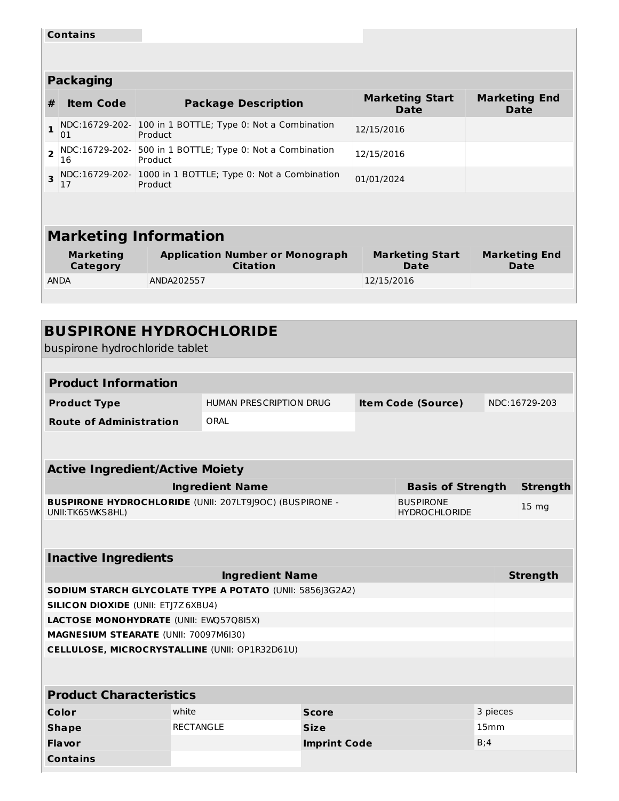|                         | <b>Contains</b>                                                               |                                                                      |                                |                              |  |  |  |  |
|-------------------------|-------------------------------------------------------------------------------|----------------------------------------------------------------------|--------------------------------|------------------------------|--|--|--|--|
|                         |                                                                               |                                                                      |                                |                              |  |  |  |  |
|                         | <b>Packaging</b>                                                              |                                                                      |                                |                              |  |  |  |  |
|                         |                                                                               |                                                                      |                                |                              |  |  |  |  |
| #                       | <b>Item Code</b>                                                              | <b>Package Description</b>                                           | <b>Marketing Start</b><br>Date | <b>Marketing End</b><br>Date |  |  |  |  |
| $\mathbf{1}$            | 01                                                                            | NDC:16729-202- 100 in 1 BOTTLE; Type 0: Not a Combination<br>Product | 12/15/2016                     |                              |  |  |  |  |
| $\overline{2}$          | NDC:16729-202-<br>500 in 1 BOTTLE; Type 0: Not a Combination<br>16<br>Product |                                                                      | 12/15/2016                     |                              |  |  |  |  |
| $\overline{\mathbf{3}}$ | NDC:16729-202- 1000 in 1 BOTTLE; Type 0: Not a Combination<br>Product<br>17   |                                                                      | 01/01/2024                     |                              |  |  |  |  |
|                         |                                                                               |                                                                      |                                |                              |  |  |  |  |
|                         |                                                                               |                                                                      |                                |                              |  |  |  |  |
|                         | <b>Marketing Information</b>                                                  |                                                                      |                                |                              |  |  |  |  |
|                         | <b>Marketing</b><br><b>Category</b>                                           | <b>Application Number or Monograph</b><br><b>Citation</b>            | <b>Marketing Start</b><br>Date | <b>Marketing End</b><br>Date |  |  |  |  |
|                         | ANDA                                                                          | ANDA202557                                                           | 12/15/2016                     |                              |  |  |  |  |
|                         |                                                                               |                                                                      |                                |                              |  |  |  |  |

| <b>BUSPIRONE HYDROCHLORIDE</b>                                                                                                 |                  |                         |                     |  |                           |          |                 |
|--------------------------------------------------------------------------------------------------------------------------------|------------------|-------------------------|---------------------|--|---------------------------|----------|-----------------|
| buspirone hydrochloride tablet                                                                                                 |                  |                         |                     |  |                           |          |                 |
|                                                                                                                                |                  |                         |                     |  |                           |          |                 |
| <b>Product Information</b>                                                                                                     |                  |                         |                     |  |                           |          |                 |
| <b>Product Type</b>                                                                                                            |                  | HUMAN PRESCRIPTION DRUG |                     |  | <b>Item Code (Source)</b> |          | NDC:16729-203   |
| <b>Route of Administration</b>                                                                                                 |                  | ORAL                    |                     |  |                           |          |                 |
|                                                                                                                                |                  |                         |                     |  |                           |          |                 |
|                                                                                                                                |                  |                         |                     |  |                           |          |                 |
| <b>Active Ingredient/Active Moiety</b>                                                                                         |                  |                         |                     |  |                           |          |                 |
|                                                                                                                                |                  | <b>Ingredient Name</b>  |                     |  | <b>Basis of Strength</b>  |          | <b>Strength</b> |
| <b>BUSPIRONE HYDROCHLORIDE (UNII: 207LT9J9OC) (BUSPIRONE -</b><br><b>BUSPIRONE</b><br>UNII:TK65WKS8HL)<br><b>HYDROCHLORIDE</b> |                  |                         |                     |  |                           | 15 mg    |                 |
|                                                                                                                                |                  |                         |                     |  |                           |          |                 |
|                                                                                                                                |                  |                         |                     |  |                           |          |                 |
| <b>Inactive Ingredients</b>                                                                                                    |                  |                         |                     |  |                           |          |                 |
|                                                                                                                                |                  | <b>Ingredient Name</b>  |                     |  |                           |          | <b>Strength</b> |
| SODIUM STARCH GLYCOLATE TYPE A POTATO (UNII: 5856J3G2A2)                                                                       |                  |                         |                     |  |                           |          |                 |
| <b>SILICON DIOXIDE (UNII: ETJ7Z6XBU4)</b>                                                                                      |                  |                         |                     |  |                           |          |                 |
| LACTOSE MONOHYDRATE (UNII: EWQ57Q8I5X)                                                                                         |                  |                         |                     |  |                           |          |                 |
| MAGNESIUM STEARATE (UNII: 70097M6I30)                                                                                          |                  |                         |                     |  |                           |          |                 |
| CELLULOSE, MICROCRYSTALLINE (UNII: OP1R32D61U)                                                                                 |                  |                         |                     |  |                           |          |                 |
|                                                                                                                                |                  |                         |                     |  |                           |          |                 |
| <b>Product Characteristics</b>                                                                                                 |                  |                         |                     |  |                           |          |                 |
| Color                                                                                                                          | white            |                         | <b>Score</b>        |  |                           | 3 pieces |                 |
| <b>Shape</b>                                                                                                                   | <b>RECTANGLE</b> |                         | <b>Size</b>         |  |                           | 15mm     |                 |
| <b>Flavor</b>                                                                                                                  |                  |                         | <b>Imprint Code</b> |  |                           | B;4      |                 |
| <b>Contains</b>                                                                                                                |                  |                         |                     |  |                           |          |                 |
|                                                                                                                                |                  |                         |                     |  |                           |          |                 |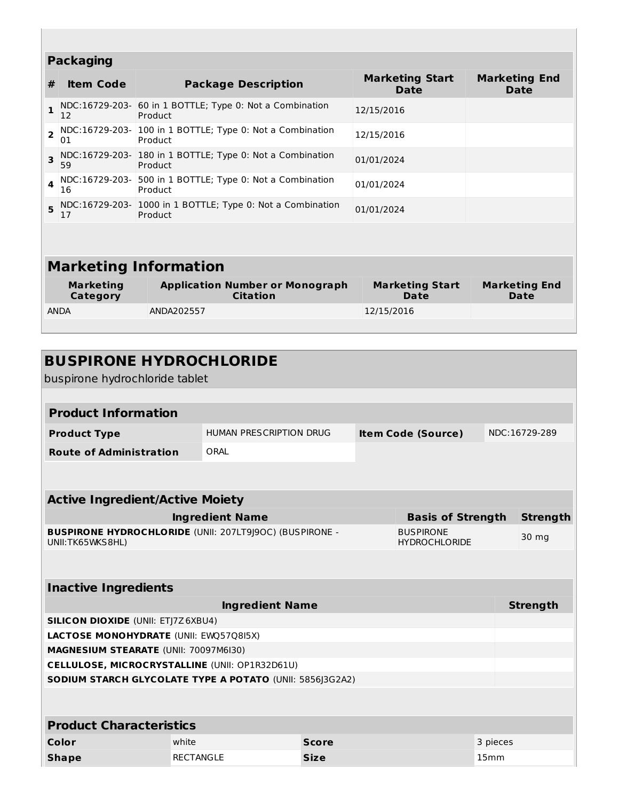| <b>Packaging</b>             |                              |                                                                       |                                |                              |  |  |  |  |
|------------------------------|------------------------------|-----------------------------------------------------------------------|--------------------------------|------------------------------|--|--|--|--|
| #                            | <b>Item Code</b>             | <b>Package Description</b>                                            | <b>Marketing Start</b><br>Date |                              |  |  |  |  |
| $\mathbf{1}$                 | 12                           | NDC:16729-203- 60 in 1 BOTTLE; Type 0: Not a Combination<br>Product   | 12/15/2016                     |                              |  |  |  |  |
| $\overline{2}$               | 01                           | NDC:16729-203- 100 in 1 BOTTLE; Type 0: Not a Combination<br>Product  | 12/15/2016                     |                              |  |  |  |  |
| $\overline{\mathbf{3}}$      | 59                           | NDC:16729-203- 180 in 1 BOTTLE; Type 0: Not a Combination<br>Product  | 01/01/2024                     |                              |  |  |  |  |
| 4                            | NDC:16729-203-<br>16         | 500 in 1 BOTTLE; Type 0: Not a Combination<br>Product                 | 01/01/2024                     |                              |  |  |  |  |
| 5                            | 17                           | NDC:16729-203- 1000 in 1 BOTTLE; Type 0: Not a Combination<br>Product | 01/01/2024                     |                              |  |  |  |  |
|                              |                              |                                                                       |                                |                              |  |  |  |  |
| <b>Marketing Information</b> |                              |                                                                       |                                |                              |  |  |  |  |
|                              | <b>Marketing</b><br>Category | <b>Application Number or Monograph</b><br><b>Citation</b>             | <b>Marketing Start</b><br>Date | <b>Marketing End</b><br>Date |  |  |  |  |
|                              | <b>ANDA</b>                  | ANDA202557                                                            | 12/15/2016                     |                              |  |  |  |  |
|                              |                              |                                                                       |                                |                              |  |  |  |  |

| <b>BUSPIRONE HYDROCHLORIDE</b><br>buspirone hydrochloride tablet                                                               |                                         |  |  |                           |  |                 |  |
|--------------------------------------------------------------------------------------------------------------------------------|-----------------------------------------|--|--|---------------------------|--|-----------------|--|
|                                                                                                                                |                                         |  |  |                           |  |                 |  |
| <b>Product Information</b>                                                                                                     |                                         |  |  |                           |  |                 |  |
| <b>Product Type</b>                                                                                                            | HUMAN PRESCRIPTION DRUG                 |  |  | <b>Item Code (Source)</b> |  | NDC:16729-289   |  |
| <b>Route of Administration</b>                                                                                                 | ORAL                                    |  |  |                           |  |                 |  |
|                                                                                                                                |                                         |  |  |                           |  |                 |  |
|                                                                                                                                |                                         |  |  |                           |  |                 |  |
| <b>Active Ingredient/Active Moiety</b>                                                                                         |                                         |  |  |                           |  |                 |  |
|                                                                                                                                | <b>Ingredient Name</b>                  |  |  | <b>Basis of Strength</b>  |  | <b>Strength</b> |  |
| <b>BUSPIRONE HYDROCHLORIDE (UNII: 207LT9J9OC) (BUSPIRONE -</b><br><b>BUSPIRONE</b><br>UNII:TK65WKS8HL)<br><b>HYDROCHLORIDE</b> |                                         |  |  |                           |  | 30 mg           |  |
|                                                                                                                                |                                         |  |  |                           |  |                 |  |
|                                                                                                                                |                                         |  |  |                           |  |                 |  |
| <b>Inactive Ingredients</b>                                                                                                    |                                         |  |  |                           |  |                 |  |
| <b>Ingredient Name</b>                                                                                                         |                                         |  |  |                           |  | <b>Strength</b> |  |
| <b>SILICON DIOXIDE (UNII: ETJ7Z6XBU4)</b>                                                                                      |                                         |  |  |                           |  |                 |  |
|                                                                                                                                | LACTOSE MONOHYDRATE (UNII: EWQ57Q8I5X)  |  |  |                           |  |                 |  |
| MAGNESIUM STEARATE (UNII: 70097M6I30)                                                                                          |                                         |  |  |                           |  |                 |  |
| <b>CELLULOSE, MICROCRYSTALLINE (UNII: OP1R32D61U)</b>                                                                          |                                         |  |  |                           |  |                 |  |
| SODIUM STARCH GLYCOLATE TYPE A POTATO (UNII: 5856J3G2A2)                                                                       |                                         |  |  |                           |  |                 |  |
|                                                                                                                                |                                         |  |  |                           |  |                 |  |
| <b>Product Characteristics</b>                                                                                                 |                                         |  |  |                           |  |                 |  |
| Color                                                                                                                          | white<br>3 pieces<br><b>Score</b>       |  |  |                           |  |                 |  |
| <b>Shape</b>                                                                                                                   | <b>RECTANGLE</b><br>15mm<br><b>Size</b> |  |  |                           |  |                 |  |